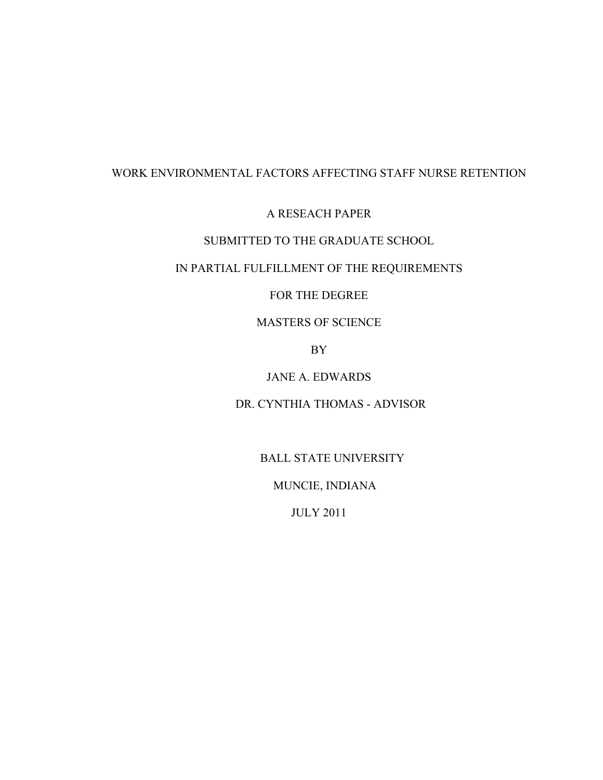# WORK ENVIRONMENTAL FACTORS AFFECTING STAFF NURSE RETENTION

## A RESEACH PAPER

# SUBMITTED TO THE GRADUATE SCHOOL

# IN PARTIAL FULFILLMENT OF THE REQUIREMENTS

## FOR THE DEGREE

# MASTERS OF SCIENCE

## BY

## JANE A. EDWARDS

## DR. CYNTHIA THOMAS - ADVISOR

## BALL STATE UNIVERSITY

# MUNCIE, INDIANA

## JULY 2011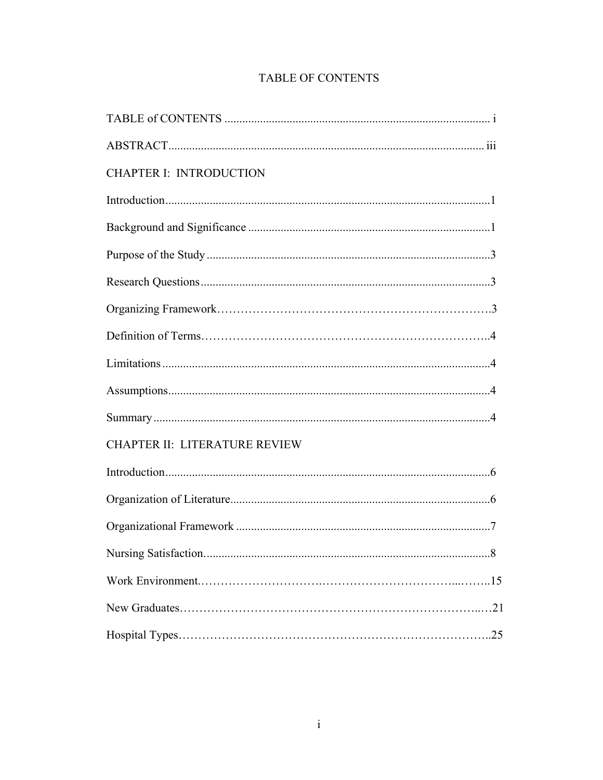| <b>CHAPTER I: INTRODUCTION</b>       |    |
|--------------------------------------|----|
|                                      |    |
|                                      |    |
|                                      |    |
|                                      |    |
|                                      |    |
|                                      |    |
|                                      |    |
|                                      |    |
|                                      |    |
| <b>CHAPTER II: LITERATURE REVIEW</b> |    |
|                                      |    |
|                                      |    |
|                                      |    |
|                                      | 8. |
|                                      |    |
|                                      |    |
|                                      |    |
|                                      |    |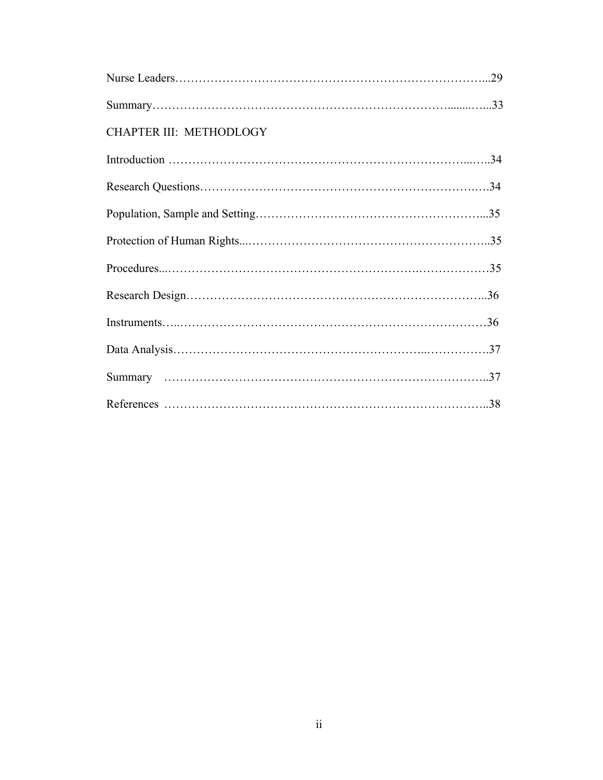| CHAPTER III: METHODLOGY |  |
|-------------------------|--|
|                         |  |
|                         |  |
|                         |  |
|                         |  |
|                         |  |
|                         |  |
|                         |  |
|                         |  |
|                         |  |
|                         |  |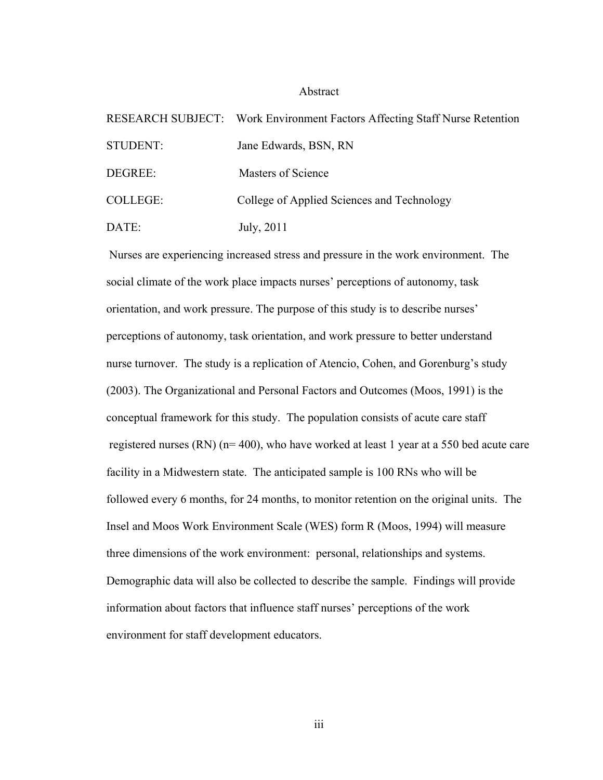#### Abstract

|                 | RESEARCH SUBJECT: Work Environment Factors Affecting Staff Nurse Retention |
|-----------------|----------------------------------------------------------------------------|
| STUDENT:        | Jane Edwards, BSN, RN                                                      |
| DEGREE:         | Masters of Science                                                         |
| <b>COLLEGE:</b> | College of Applied Sciences and Technology                                 |
| DATE:           | July, 2011                                                                 |

 Nurses are experiencing increased stress and pressure in the work environment. The social climate of the work place impacts nurses' perceptions of autonomy, task orientation, and work pressure. The purpose of this study is to describe nurses' perceptions of autonomy, task orientation, and work pressure to better understand nurse turnover. The study is a replication of Atencio, Cohen, and Gorenburg's study (2003). The Organizational and Personal Factors and Outcomes (Moos, 1991) is the conceptual framework for this study. The population consists of acute care staff registered nurses (RN) (n= 400), who have worked at least 1 year at a 550 bed acute care facility in a Midwestern state. The anticipated sample is 100 RNs who will be followed every 6 months, for 24 months, to monitor retention on the original units. The Insel and Moos Work Environment Scale (WES) form R (Moos, 1994) will measure three dimensions of the work environment: personal, relationships and systems. Demographic data will also be collected to describe the sample. Findings will provide information about factors that influence staff nurses' perceptions of the work environment for staff development educators.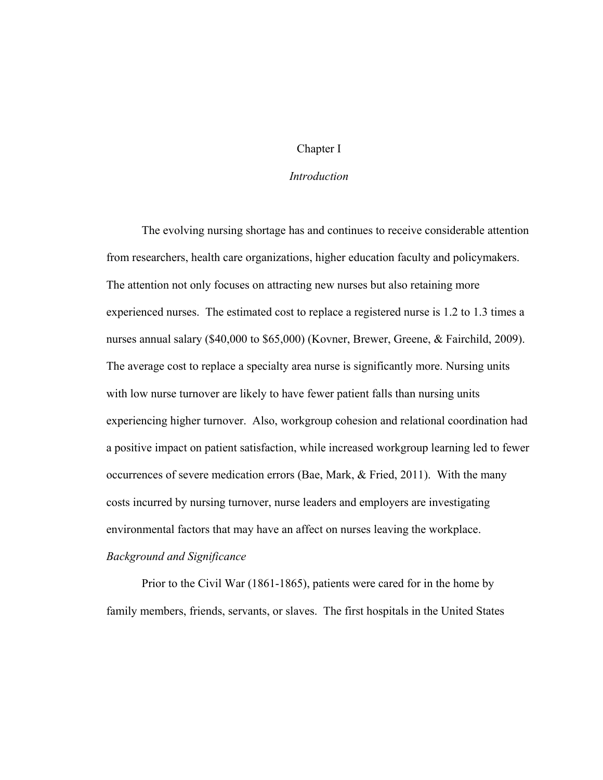### Chapter I

### *Introduction*

 The evolving nursing shortage has and continues to receive considerable attention from researchers, health care organizations, higher education faculty and policymakers. The attention not only focuses on attracting new nurses but also retaining more experienced nurses. The estimated cost to replace a registered nurse is 1.2 to 1.3 times a nurses annual salary (\$40,000 to \$65,000) (Kovner, Brewer, Greene, & Fairchild, 2009). The average cost to replace a specialty area nurse is significantly more. Nursing units with low nurse turnover are likely to have fewer patient falls than nursing units experiencing higher turnover. Also, workgroup cohesion and relational coordination had a positive impact on patient satisfaction, while increased workgroup learning led to fewer occurrences of severe medication errors (Bae, Mark, & Fried, 2011). With the many costs incurred by nursing turnover, nurse leaders and employers are investigating environmental factors that may have an affect on nurses leaving the workplace. *Background and Significance* 

 Prior to the Civil War (1861-1865), patients were cared for in the home by family members, friends, servants, or slaves. The first hospitals in the United States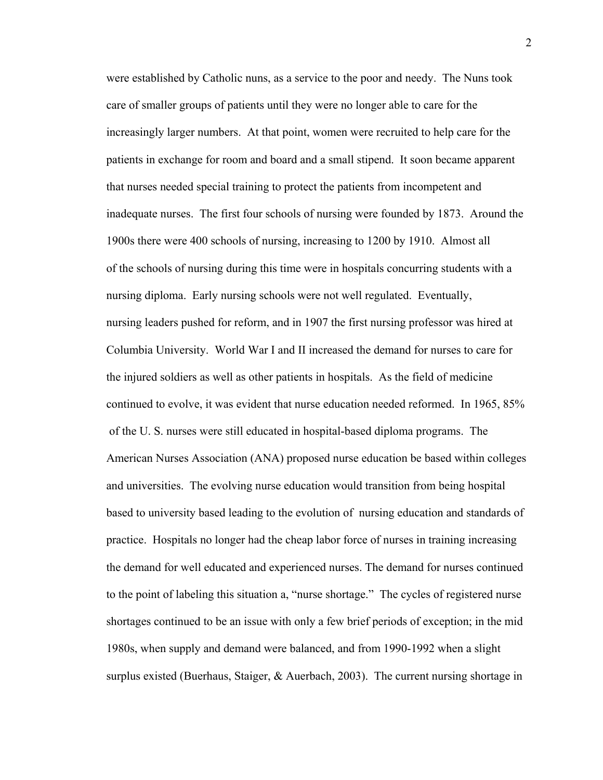were established by Catholic nuns, as a service to the poor and needy. The Nuns took care of smaller groups of patients until they were no longer able to care for the increasingly larger numbers. At that point, women were recruited to help care for the patients in exchange for room and board and a small stipend. It soon became apparent that nurses needed special training to protect the patients from incompetent and inadequate nurses. The first four schools of nursing were founded by 1873. Around the 1900s there were 400 schools of nursing, increasing to 1200 by 1910. Almost all of the schools of nursing during this time were in hospitals concurring students with a nursing diploma. Early nursing schools were not well regulated. Eventually, nursing leaders pushed for reform, and in 1907 the first nursing professor was hired at Columbia University. World War I and II increased the demand for nurses to care for the injured soldiers as well as other patients in hospitals. As the field of medicine continued to evolve, it was evident that nurse education needed reformed. In 1965, 85% of the U. S. nurses were still educated in hospital-based diploma programs. The American Nurses Association (ANA) proposed nurse education be based within colleges and universities. The evolving nurse education would transition from being hospital based to university based leading to the evolution of nursing education and standards of practice. Hospitals no longer had the cheap labor force of nurses in training increasing the demand for well educated and experienced nurses. The demand for nurses continued to the point of labeling this situation a, "nurse shortage." The cycles of registered nurse shortages continued to be an issue with only a few brief periods of exception; in the mid 1980s, when supply and demand were balanced, and from 1990-1992 when a slight surplus existed (Buerhaus, Staiger, & Auerbach, 2003). The current nursing shortage in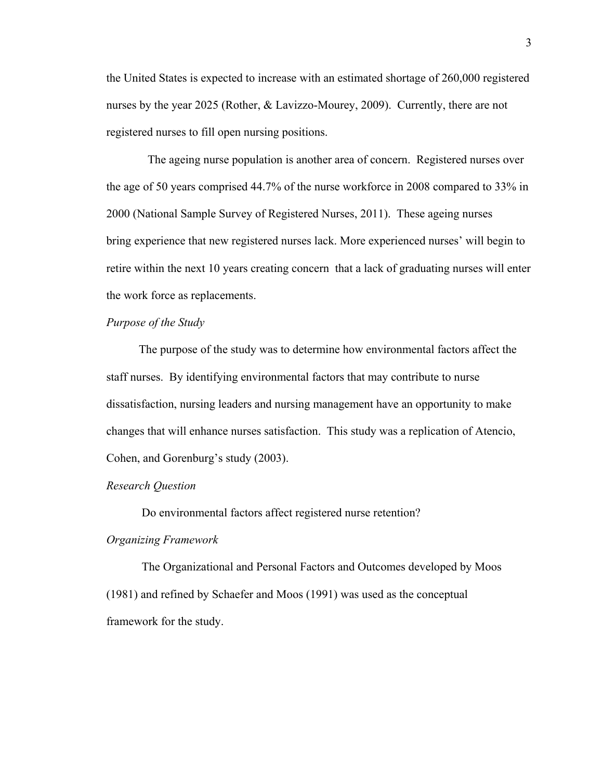the United States is expected to increase with an estimated shortage of 260,000 registered nurses by the year 2025 (Rother, & Lavizzo-Mourey, 2009). Currently, there are not registered nurses to fill open nursing positions.

 The ageing nurse population is another area of concern. Registered nurses over the age of 50 years comprised 44.7% of the nurse workforce in 2008 compared to 33% in 2000 (National Sample Survey of Registered Nurses, 2011). These ageing nurses bring experience that new registered nurses lack. More experienced nurses' will begin to retire within the next 10 years creating concern that a lack of graduating nurses will enter the work force as replacements.

### *Purpose of the Study*

The purpose of the study was to determine how environmental factors affect the staff nurses. By identifying environmental factors that may contribute to nurse dissatisfaction, nursing leaders and nursing management have an opportunity to make changes that will enhance nurses satisfaction. This study was a replication of Atencio, Cohen, and Gorenburg's study (2003).

### *Research Question*

Do environmental factors affect registered nurse retention?

#### *Organizing Framework*

The Organizational and Personal Factors and Outcomes developed by Moos (1981) and refined by Schaefer and Moos (1991) was used as the conceptual framework for the study.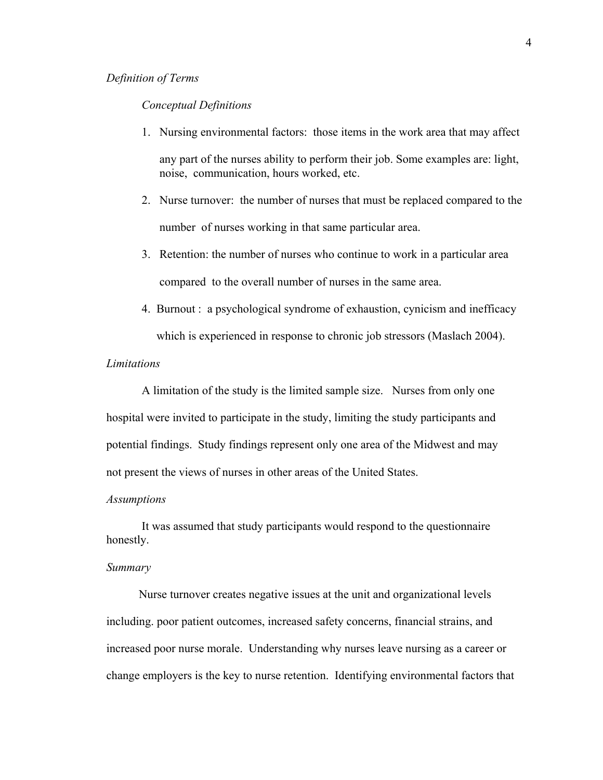#### *Definition of Terms*

#### *Conceptual Definitions*

1. Nursing environmental factors: those items in the work area that may affect

any part of the nurses ability to perform their job. Some examples are: light, noise, communication, hours worked, etc.

- 2. Nurse turnover: the number of nurses that must be replaced compared to the number of nurses working in that same particular area.
- 3. Retention: the number of nurses who continue to work in a particular area compared to the overall number of nurses in the same area.
- 4. Burnout : a psychological syndrome of exhaustion, cynicism and inefficacy which is experienced in response to chronic job stressors (Maslach 2004).

## *Limitations*

A limitation of the study is the limited sample size. Nurses from only one hospital were invited to participate in the study, limiting the study participants and potential findings. Study findings represent only one area of the Midwest and may not present the views of nurses in other areas of the United States.

#### *Assumptions*

It was assumed that study participants would respond to the questionnaire honestly.

#### *Summary*

 Nurse turnover creates negative issues at the unit and organizational levels including. poor patient outcomes, increased safety concerns, financial strains, and increased poor nurse morale. Understanding why nurses leave nursing as a career or change employers is the key to nurse retention. Identifying environmental factors that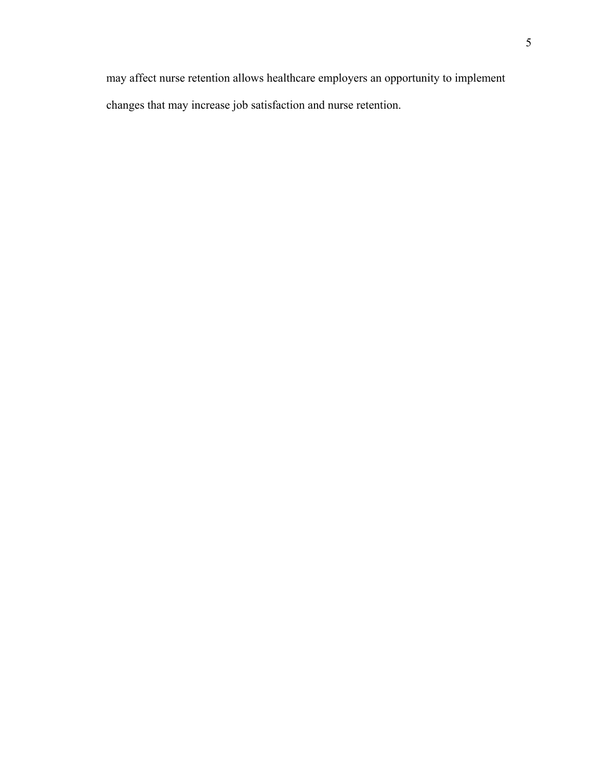may affect nurse retention allows healthcare employers an opportunity to implement changes that may increase job satisfaction and nurse retention.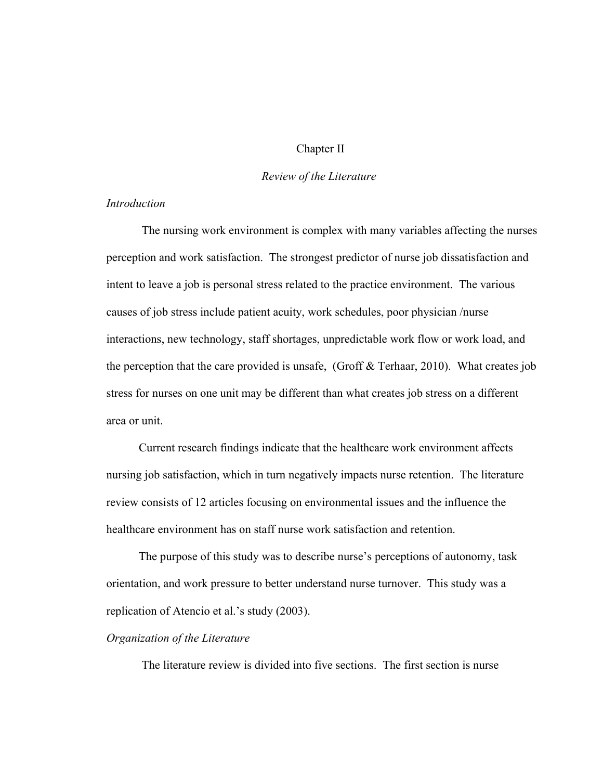### Chapter II

### *Review of the Literature*

## *Introduction*

 The nursing work environment is complex with many variables affecting the nurses perception and work satisfaction. The strongest predictor of nurse job dissatisfaction and intent to leave a job is personal stress related to the practice environment. The various causes of job stress include patient acuity, work schedules, poor physician /nurse interactions, new technology, staff shortages, unpredictable work flow or work load, and the perception that the care provided is unsafe, (Groff & Terhaar, 2010). What creates job stress for nurses on one unit may be different than what creates job stress on a different area or unit.

 Current research findings indicate that the healthcare work environment affects nursing job satisfaction, which in turn negatively impacts nurse retention. The literature review consists of 12 articles focusing on environmental issues and the influence the healthcare environment has on staff nurse work satisfaction and retention.

 The purpose of this study was to describe nurse's perceptions of autonomy, task orientation, and work pressure to better understand nurse turnover. This study was a replication of Atencio et al.'s study (2003).

### *Organization of the Literature*

The literature review is divided into five sections. The first section is nurse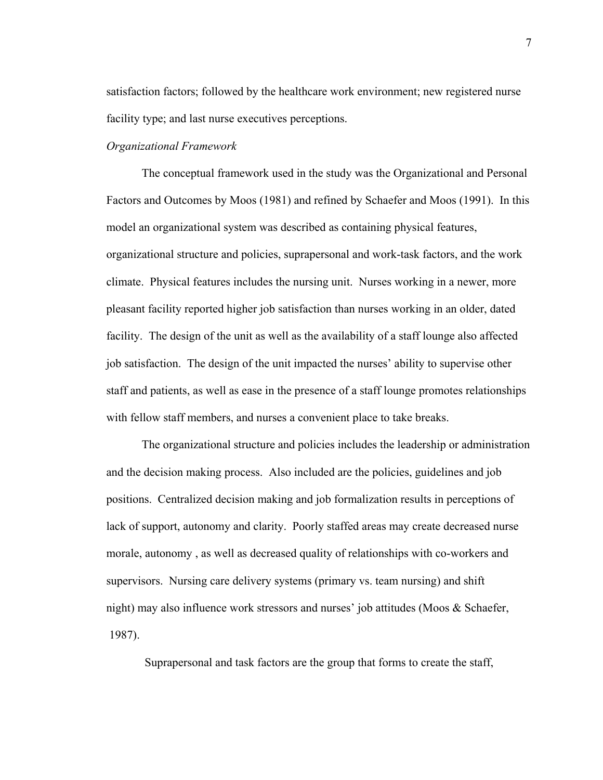satisfaction factors; followed by the healthcare work environment; new registered nurse facility type; and last nurse executives perceptions.

#### *Organizational Framework*

 The conceptual framework used in the study was the Organizational and Personal Factors and Outcomes by Moos (1981) and refined by Schaefer and Moos (1991). In this model an organizational system was described as containing physical features, organizational structure and policies, suprapersonal and work-task factors, and the work climate. Physical features includes the nursing unit. Nurses working in a newer, more pleasant facility reported higher job satisfaction than nurses working in an older, dated facility. The design of the unit as well as the availability of a staff lounge also affected job satisfaction. The design of the unit impacted the nurses' ability to supervise other staff and patients, as well as ease in the presence of a staff lounge promotes relationships with fellow staff members, and nurses a convenient place to take breaks.

 The organizational structure and policies includes the leadership or administration and the decision making process. Also included are the policies, guidelines and job positions. Centralized decision making and job formalization results in perceptions of lack of support, autonomy and clarity. Poorly staffed areas may create decreased nurse morale, autonomy , as well as decreased quality of relationships with co-workers and supervisors. Nursing care delivery systems (primary vs. team nursing) and shift night) may also influence work stressors and nurses' job attitudes (Moos & Schaefer, 1987).

Suprapersonal and task factors are the group that forms to create the staff,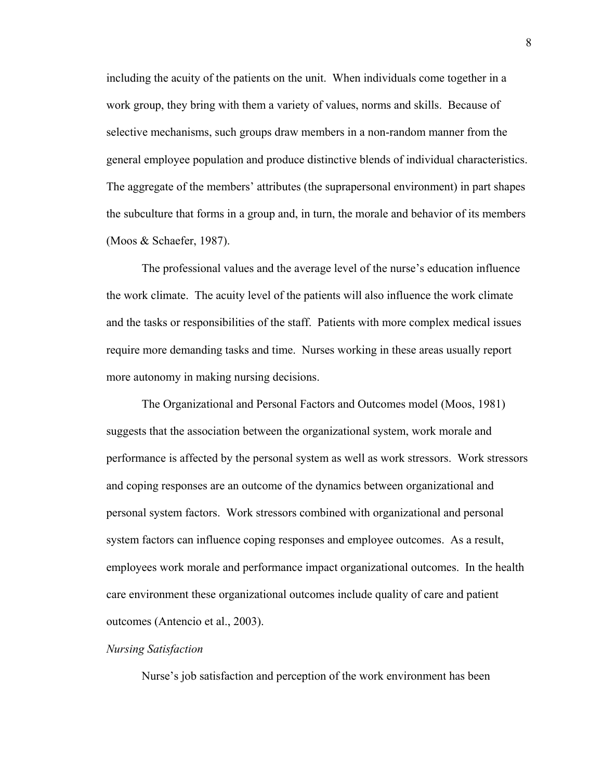including the acuity of the patients on the unit. When individuals come together in a work group, they bring with them a variety of values, norms and skills. Because of selective mechanisms, such groups draw members in a non-random manner from the general employee population and produce distinctive blends of individual characteristics. The aggregate of the members' attributes (the suprapersonal environment) in part shapes the subculture that forms in a group and, in turn, the morale and behavior of its members (Moos & Schaefer, 1987).

 The professional values and the average level of the nurse's education influence the work climate. The acuity level of the patients will also influence the work climate and the tasks or responsibilities of the staff. Patients with more complex medical issues require more demanding tasks and time. Nurses working in these areas usually report more autonomy in making nursing decisions.

 The Organizational and Personal Factors and Outcomes model (Moos, 1981) suggests that the association between the organizational system, work morale and performance is affected by the personal system as well as work stressors. Work stressors and coping responses are an outcome of the dynamics between organizational and personal system factors. Work stressors combined with organizational and personal system factors can influence coping responses and employee outcomes. As a result, employees work morale and performance impact organizational outcomes. In the health care environment these organizational outcomes include quality of care and patient outcomes (Antencio et al., 2003).

### *Nursing Satisfaction*

Nurse's job satisfaction and perception of the work environment has been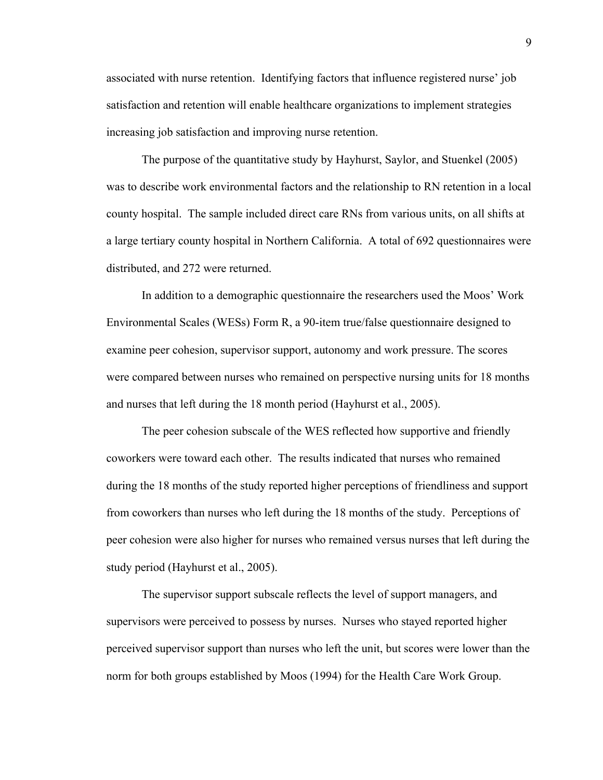associated with nurse retention. Identifying factors that influence registered nurse' job satisfaction and retention will enable healthcare organizations to implement strategies increasing job satisfaction and improving nurse retention.

 The purpose of the quantitative study by Hayhurst, Saylor, and Stuenkel (2005) was to describe work environmental factors and the relationship to RN retention in a local county hospital. The sample included direct care RNs from various units, on all shifts at a large tertiary county hospital in Northern California. A total of 692 questionnaires were distributed, and 272 were returned.

 In addition to a demographic questionnaire the researchers used the Moos' Work Environmental Scales (WESs) Form R, a 90-item true/false questionnaire designed to examine peer cohesion, supervisor support, autonomy and work pressure. The scores were compared between nurses who remained on perspective nursing units for 18 months and nurses that left during the 18 month period (Hayhurst et al., 2005).

 The peer cohesion subscale of the WES reflected how supportive and friendly coworkers were toward each other. The results indicated that nurses who remained during the 18 months of the study reported higher perceptions of friendliness and support from coworkers than nurses who left during the 18 months of the study. Perceptions of peer cohesion were also higher for nurses who remained versus nurses that left during the study period (Hayhurst et al., 2005).

 The supervisor support subscale reflects the level of support managers, and supervisors were perceived to possess by nurses. Nurses who stayed reported higher perceived supervisor support than nurses who left the unit, but scores were lower than the norm for both groups established by Moos (1994) for the Health Care Work Group.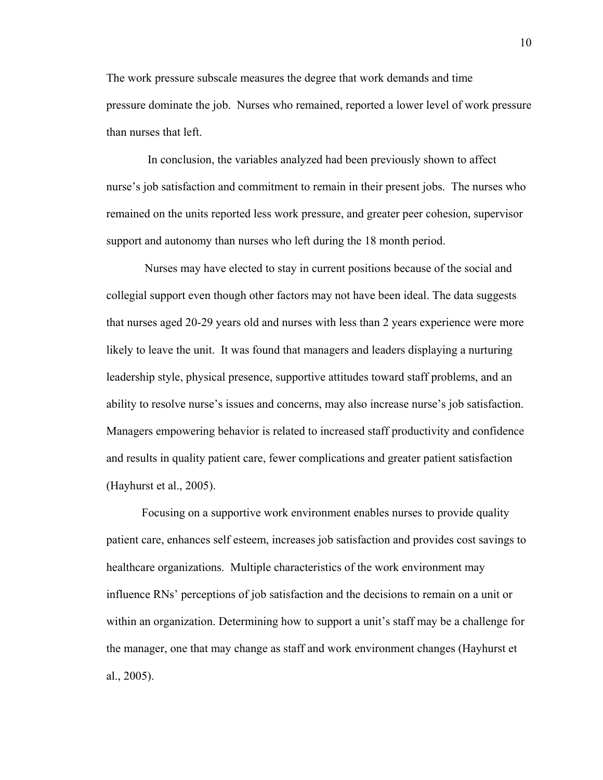The work pressure subscale measures the degree that work demands and time pressure dominate the job. Nurses who remained, reported a lower level of work pressure than nurses that left.

 In conclusion, the variables analyzed had been previously shown to affect nurse's job satisfaction and commitment to remain in their present jobs. The nurses who remained on the units reported less work pressure, and greater peer cohesion, supervisor support and autonomy than nurses who left during the 18 month period.

 Nurses may have elected to stay in current positions because of the social and collegial support even though other factors may not have been ideal. The data suggests that nurses aged 20-29 years old and nurses with less than 2 years experience were more likely to leave the unit. It was found that managers and leaders displaying a nurturing leadership style, physical presence, supportive attitudes toward staff problems, and an ability to resolve nurse's issues and concerns, may also increase nurse's job satisfaction. Managers empowering behavior is related to increased staff productivity and confidence and results in quality patient care, fewer complications and greater patient satisfaction (Hayhurst et al., 2005).

Focusing on a supportive work environment enables nurses to provide quality patient care, enhances self esteem, increases job satisfaction and provides cost savings to healthcare organizations. Multiple characteristics of the work environment may influence RNs' perceptions of job satisfaction and the decisions to remain on a unit or within an organization. Determining how to support a unit's staff may be a challenge for the manager, one that may change as staff and work environment changes (Hayhurst et al., 2005).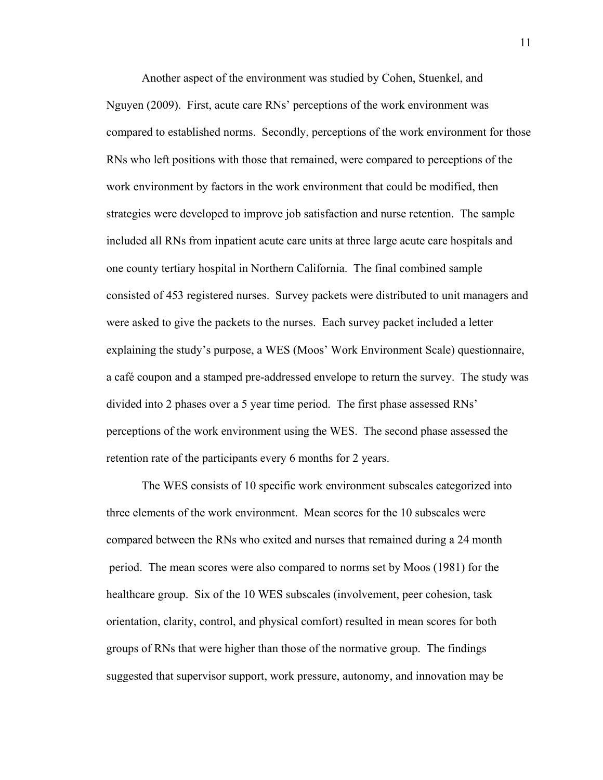Another aspect of the environment was studied by Cohen, Stuenkel, and Nguyen (2009). First, acute care RNs' perceptions of the work environment was compared to established norms. Secondly, perceptions of the work environment for those RNs who left positions with those that remained, were compared to perceptions of the work environment by factors in the work environment that could be modified, then strategies were developed to improve job satisfaction and nurse retention. The sample included all RNs from inpatient acute care units at three large acute care hospitals and one county tertiary hospital in Northern California. The final combined sample consisted of 453 registered nurses. Survey packets were distributed to unit managers and were asked to give the packets to the nurses. Each survey packet included a letter explaining the study's purpose, a WES (Moos' Work Environment Scale) questionnaire, a café coupon and a stamped pre-addressed envelope to return the survey. The study was divided into 2 phases over a 5 year time period. The first phase assessed RNs' perceptions of the work environment using the WES. The second phase assessed the retention rate of the participants every 6 months for 2 years.

 The WES consists of 10 specific work environment subscales categorized into three elements of the work environment. Mean scores for the 10 subscales were compared between the RNs who exited and nurses that remained during a 24 month period. The mean scores were also compared to norms set by Moos (1981) for the healthcare group. Six of the 10 WES subscales (involvement, peer cohesion, task orientation, clarity, control, and physical comfort) resulted in mean scores for both groups of RNs that were higher than those of the normative group. The findings suggested that supervisor support, work pressure, autonomy, and innovation may be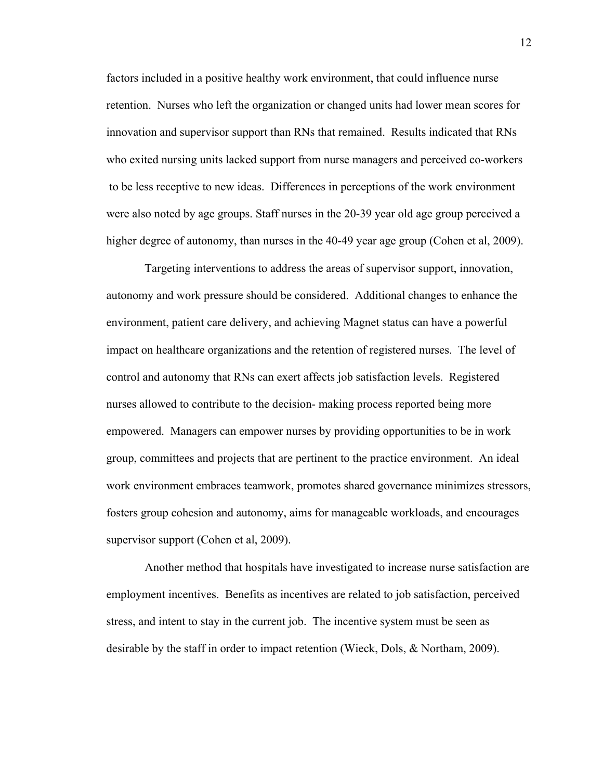factors included in a positive healthy work environment, that could influence nurse retention. Nurses who left the organization or changed units had lower mean scores for innovation and supervisor support than RNs that remained. Results indicated that RNs who exited nursing units lacked support from nurse managers and perceived co-workers to be less receptive to new ideas. Differences in perceptions of the work environment were also noted by age groups. Staff nurses in the 20-39 year old age group perceived a higher degree of autonomy, than nurses in the 40-49 year age group (Cohen et al, 2009).

 Targeting interventions to address the areas of supervisor support, innovation, autonomy and work pressure should be considered. Additional changes to enhance the environment, patient care delivery, and achieving Magnet status can have a powerful impact on healthcare organizations and the retention of registered nurses. The level of control and autonomy that RNs can exert affects job satisfaction levels. Registered nurses allowed to contribute to the decision- making process reported being more empowered. Managers can empower nurses by providing opportunities to be in work group, committees and projects that are pertinent to the practice environment. An ideal work environment embraces teamwork, promotes shared governance minimizes stressors, fosters group cohesion and autonomy, aims for manageable workloads, and encourages supervisor support (Cohen et al, 2009).

 Another method that hospitals have investigated to increase nurse satisfaction are employment incentives. Benefits as incentives are related to job satisfaction, perceived stress, and intent to stay in the current job. The incentive system must be seen as desirable by the staff in order to impact retention (Wieck, Dols, & Northam, 2009).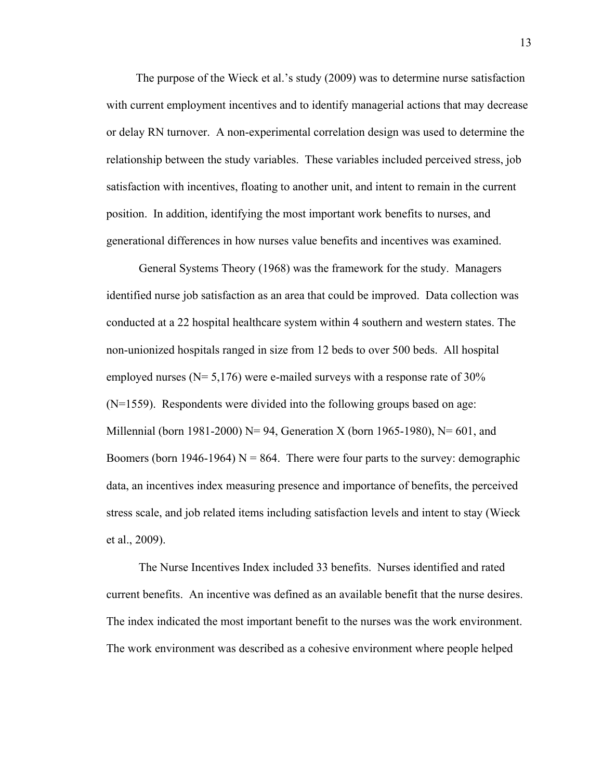The purpose of the Wieck et al.'s study (2009) was to determine nurse satisfaction with current employment incentives and to identify managerial actions that may decrease or delay RN turnover. A non-experimental correlation design was used to determine the relationship between the study variables. These variables included perceived stress, job satisfaction with incentives, floating to another unit, and intent to remain in the current position. In addition, identifying the most important work benefits to nurses, and generational differences in how nurses value benefits and incentives was examined.

 General Systems Theory (1968) was the framework for the study. Managers identified nurse job satisfaction as an area that could be improved. Data collection was conducted at a 22 hospital healthcare system within 4 southern and western states. The non-unionized hospitals ranged in size from 12 beds to over 500 beds. All hospital employed nurses ( $N = 5,176$ ) were e-mailed surveys with a response rate of 30% (N=1559). Respondents were divided into the following groups based on age: Millennial (born 1981-2000) N= 94, Generation X (born 1965-1980), N= 601, and Boomers (born 1946-1964)  $N = 864$ . There were four parts to the survey: demographic data, an incentives index measuring presence and importance of benefits, the perceived stress scale, and job related items including satisfaction levels and intent to stay (Wieck et al., 2009).

 The Nurse Incentives Index included 33 benefits. Nurses identified and rated current benefits. An incentive was defined as an available benefit that the nurse desires. The index indicated the most important benefit to the nurses was the work environment. The work environment was described as a cohesive environment where people helped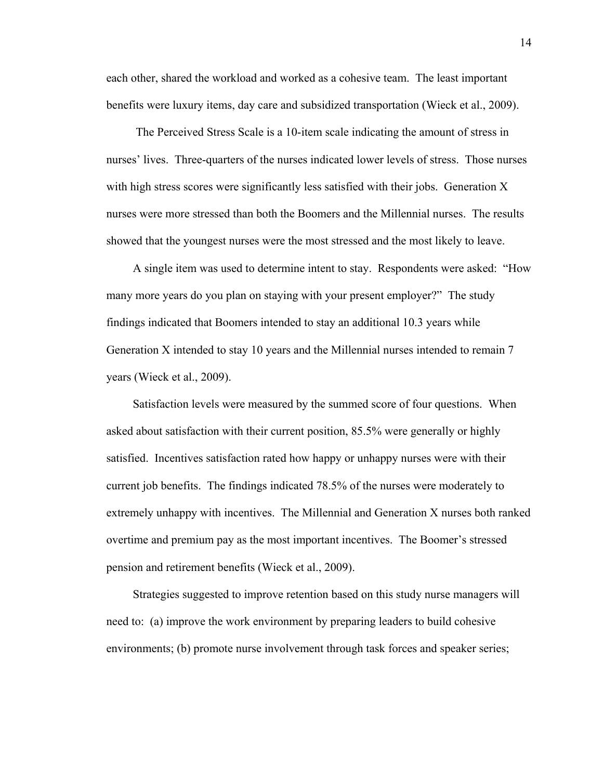each other, shared the workload and worked as a cohesive team. The least important benefits were luxury items, day care and subsidized transportation (Wieck et al., 2009).

 The Perceived Stress Scale is a 10-item scale indicating the amount of stress in nurses' lives. Three-quarters of the nurses indicated lower levels of stress. Those nurses with high stress scores were significantly less satisfied with their jobs. Generation X nurses were more stressed than both the Boomers and the Millennial nurses. The results showed that the youngest nurses were the most stressed and the most likely to leave.

 A single item was used to determine intent to stay. Respondents were asked: "How many more years do you plan on staying with your present employer?" The study findings indicated that Boomers intended to stay an additional 10.3 years while Generation X intended to stay 10 years and the Millennial nurses intended to remain 7 years (Wieck et al., 2009).

 Satisfaction levels were measured by the summed score of four questions. When asked about satisfaction with their current position, 85.5% were generally or highly satisfied. Incentives satisfaction rated how happy or unhappy nurses were with their current job benefits. The findings indicated 78.5% of the nurses were moderately to extremely unhappy with incentives. The Millennial and Generation X nurses both ranked overtime and premium pay as the most important incentives. The Boomer's stressed pension and retirement benefits (Wieck et al., 2009).

Strategies suggested to improve retention based on this study nurse managers will need to: (a) improve the work environment by preparing leaders to build cohesive environments; (b) promote nurse involvement through task forces and speaker series;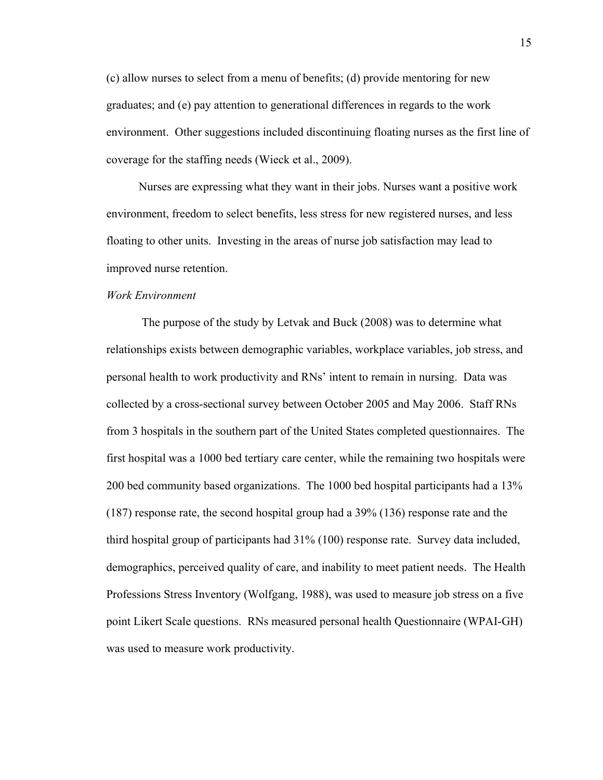(c) allow nurses to select from a menu of benefits; (d) provide mentoring for new graduates; and (e) pay attention to generational differences in regards to the work environment. Other suggestions included discontinuing floating nurses as the first line of coverage for the staffing needs (Wieck et al., 2009).

 Nurses are expressing what they want in their jobs. Nurses want a positive work environment, freedom to select benefits, less stress for new registered nurses, and less floating to other units. Investing in the areas of nurse job satisfaction may lead to improved nurse retention.

#### *Work Environment*

 The purpose of the study by Letvak and Buck (2008) was to determine what relationships exists between demographic variables, workplace variables, job stress, and personal health to work productivity and RNs' intent to remain in nursing. Data was collected by a cross-sectional survey between October 2005 and May 2006. Staff RNs from 3 hospitals in the southern part of the United States completed questionnaires. The first hospital was a 1000 bed tertiary care center, while the remaining two hospitals were 200 bed community based organizations. The 1000 bed hospital participants had a 13% (187) response rate, the second hospital group had a 39% (136) response rate and the third hospital group of participants had 31% (100) response rate. Survey data included, demographics, perceived quality of care, and inability to meet patient needs. The Health Professions Stress Inventory (Wolfgang, 1988), was used to measure job stress on a five point Likert Scale questions. RNs measured personal health Questionnaire (WPAI-GH) was used to measure work productivity.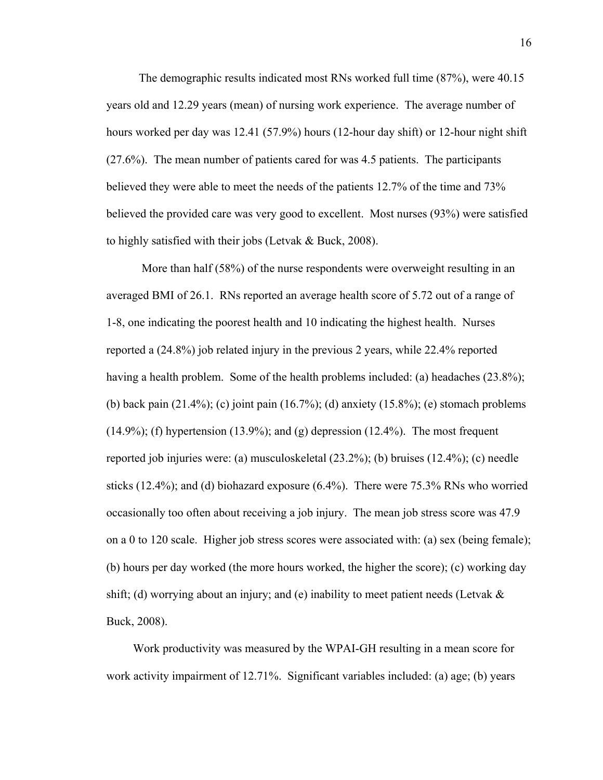The demographic results indicated most RNs worked full time (87%), were 40.15 years old and 12.29 years (mean) of nursing work experience. The average number of hours worked per day was 12.41 (57.9%) hours (12-hour day shift) or 12-hour night shift (27.6%). The mean number of patients cared for was 4.5 patients. The participants believed they were able to meet the needs of the patients 12.7% of the time and 73% believed the provided care was very good to excellent. Most nurses (93%) were satisfied to highly satisfied with their jobs (Letvak & Buck, 2008).

 More than half (58%) of the nurse respondents were overweight resulting in an averaged BMI of 26.1. RNs reported an average health score of 5.72 out of a range of 1-8, one indicating the poorest health and 10 indicating the highest health. Nurses reported a (24.8%) job related injury in the previous 2 years, while 22.4% reported having a health problem. Some of the health problems included: (a) headaches (23.8%); (b) back pain (21.4%); (c) joint pain (16.7%); (d) anxiety (15.8%); (e) stomach problems  $(14.9\%)$ ; (f) hypertension  $(13.9\%)$ ; and  $(g)$  depression  $(12.4\%)$ . The most frequent reported job injuries were: (a) musculoskeletal (23.2%); (b) bruises (12.4%); (c) needle sticks (12.4%); and (d) biohazard exposure (6.4%). There were 75.3% RNs who worried occasionally too often about receiving a job injury. The mean job stress score was 47.9 on a 0 to 120 scale. Higher job stress scores were associated with: (a) sex (being female); (b) hours per day worked (the more hours worked, the higher the score); (c) working day shift; (d) worrying about an injury; and (e) inability to meet patient needs (Letvak  $\&$ Buck, 2008).

 Work productivity was measured by the WPAI-GH resulting in a mean score for work activity impairment of 12.71%. Significant variables included: (a) age; (b) years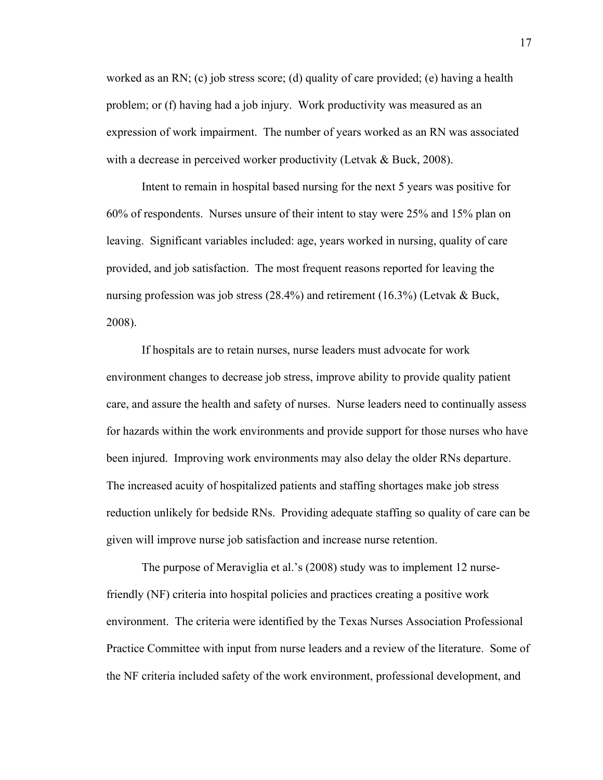worked as an RN; (c) job stress score; (d) quality of care provided; (e) having a health problem; or (f) having had a job injury. Work productivity was measured as an expression of work impairment. The number of years worked as an RN was associated with a decrease in perceived worker productivity (Letvak & Buck, 2008).

 Intent to remain in hospital based nursing for the next 5 years was positive for 60% of respondents. Nurses unsure of their intent to stay were 25% and 15% plan on leaving. Significant variables included: age, years worked in nursing, quality of care provided, and job satisfaction. The most frequent reasons reported for leaving the nursing profession was job stress (28.4%) and retirement (16.3%) (Letvak & Buck, 2008).

 If hospitals are to retain nurses, nurse leaders must advocate for work environment changes to decrease job stress, improve ability to provide quality patient care, and assure the health and safety of nurses. Nurse leaders need to continually assess for hazards within the work environments and provide support for those nurses who have been injured. Improving work environments may also delay the older RNs departure. The increased acuity of hospitalized patients and staffing shortages make job stress reduction unlikely for bedside RNs. Providing adequate staffing so quality of care can be given will improve nurse job satisfaction and increase nurse retention.

 The purpose of Meraviglia et al.'s (2008) study was to implement 12 nursefriendly (NF) criteria into hospital policies and practices creating a positive work environment. The criteria were identified by the Texas Nurses Association Professional Practice Committee with input from nurse leaders and a review of the literature. Some of the NF criteria included safety of the work environment, professional development, and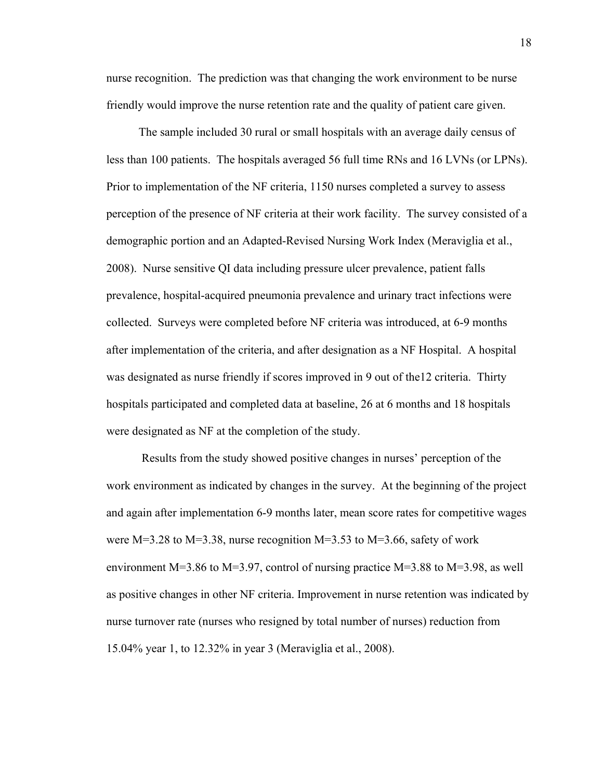nurse recognition. The prediction was that changing the work environment to be nurse friendly would improve the nurse retention rate and the quality of patient care given.

 The sample included 30 rural or small hospitals with an average daily census of less than 100 patients. The hospitals averaged 56 full time RNs and 16 LVNs (or LPNs). Prior to implementation of the NF criteria, 1150 nurses completed a survey to assess perception of the presence of NF criteria at their work facility. The survey consisted of a demographic portion and an Adapted-Revised Nursing Work Index (Meraviglia et al., 2008). Nurse sensitive QI data including pressure ulcer prevalence, patient falls prevalence, hospital-acquired pneumonia prevalence and urinary tract infections were collected. Surveys were completed before NF criteria was introduced, at 6-9 months after implementation of the criteria, and after designation as a NF Hospital. A hospital was designated as nurse friendly if scores improved in 9 out of the12 criteria. Thirty hospitals participated and completed data at baseline, 26 at 6 months and 18 hospitals were designated as NF at the completion of the study.

 Results from the study showed positive changes in nurses' perception of the work environment as indicated by changes in the survey. At the beginning of the project and again after implementation 6-9 months later, mean score rates for competitive wages were  $M=3.28$  to  $M=3.38$ , nurse recognition  $M=3.53$  to  $M=3.66$ , safety of work environment M=3.86 to M=3.97, control of nursing practice M=3.88 to M=3.98, as well as positive changes in other NF criteria. Improvement in nurse retention was indicated by nurse turnover rate (nurses who resigned by total number of nurses) reduction from 15.04% year 1, to 12.32% in year 3 (Meraviglia et al., 2008).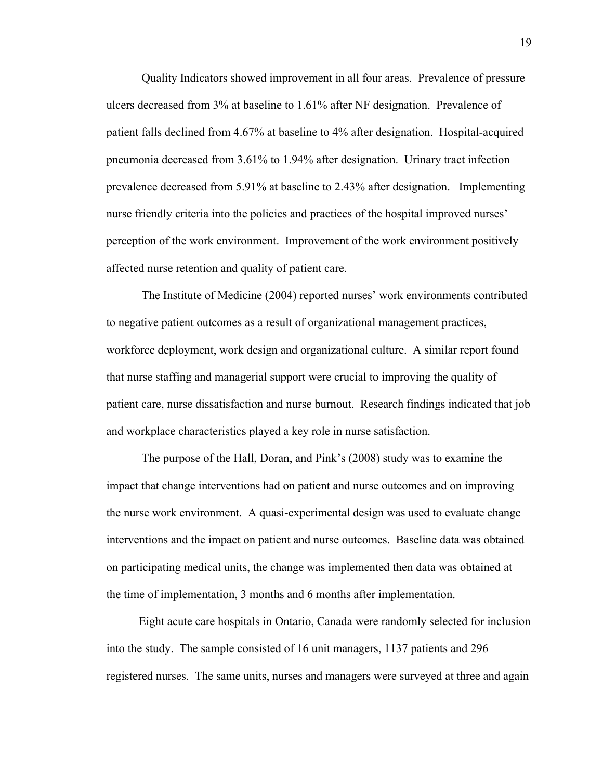Quality Indicators showed improvement in all four areas. Prevalence of pressure ulcers decreased from 3% at baseline to 1.61% after NF designation. Prevalence of patient falls declined from 4.67% at baseline to 4% after designation. Hospital-acquired pneumonia decreased from 3.61% to 1.94% after designation. Urinary tract infection prevalence decreased from 5.91% at baseline to 2.43% after designation. Implementing nurse friendly criteria into the policies and practices of the hospital improved nurses' perception of the work environment. Improvement of the work environment positively affected nurse retention and quality of patient care.

 The Institute of Medicine (2004) reported nurses' work environments contributed to negative patient outcomes as a result of organizational management practices, workforce deployment, work design and organizational culture. A similar report found that nurse staffing and managerial support were crucial to improving the quality of patient care, nurse dissatisfaction and nurse burnout. Research findings indicated that job and workplace characteristics played a key role in nurse satisfaction.

 The purpose of the Hall, Doran, and Pink's (2008) study was to examine the impact that change interventions had on patient and nurse outcomes and on improving the nurse work environment. A quasi-experimental design was used to evaluate change interventions and the impact on patient and nurse outcomes. Baseline data was obtained on participating medical units, the change was implemented then data was obtained at the time of implementation, 3 months and 6 months after implementation.

 Eight acute care hospitals in Ontario, Canada were randomly selected for inclusion into the study. The sample consisted of 16 unit managers, 1137 patients and 296 registered nurses. The same units, nurses and managers were surveyed at three and again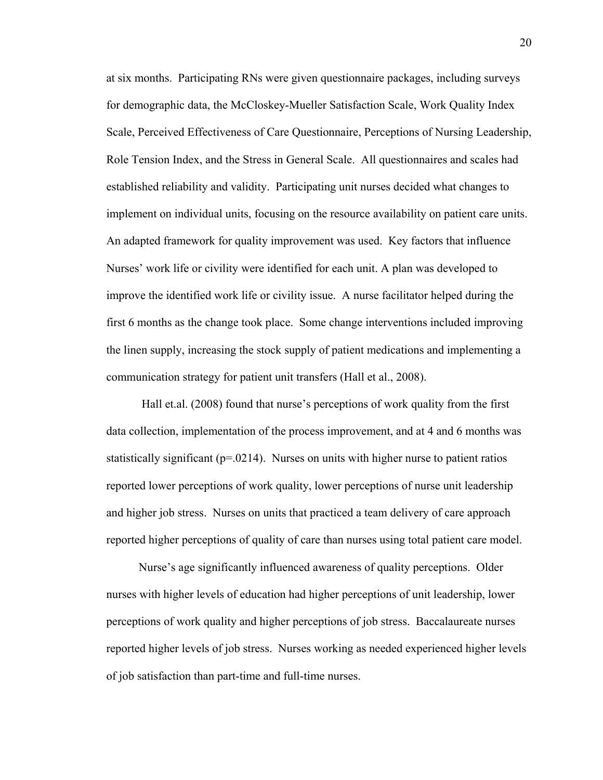at six months. Participating RNs were given questionnaire packages, including surveys for demographic data, the McCloskey-Mueller Satisfaction Scale, Work Quality Index Scale, Perceived Effectiveness of Care Questionnaire, Perceptions of Nursing Leadership, Role Tension Index, and the Stress in General Scale. All questionnaires and scales had established reliability and validity. Participating unit nurses decided what changes to implement on individual units, focusing on the resource availability on patient care units. An adapted framework for quality improvement was used. Key factors that influence Nurses' work life or civility were identified for each unit. A plan was developed to improve the identified work life or civility issue. A nurse facilitator helped during the first 6 months as the change took place. Some change interventions included improving the linen supply, increasing the stock supply of patient medications and implementing a communication strategy for patient unit transfers (Hall et al., 2008).

 Hall et.al. (2008) found that nurse's perceptions of work quality from the first data collection, implementation of the process improvement, and at 4 and 6 months was statistically significant ( $p=0.0214$ ). Nurses on units with higher nurse to patient ratios reported lower perceptions of work quality, lower perceptions of nurse unit leadership and higher job stress. Nurses on units that practiced a team delivery of care approach reported higher perceptions of quality of care than nurses using total patient care model.

 Nurse's age significantly influenced awareness of quality perceptions. Older nurses with higher levels of education had higher perceptions of unit leadership, lower perceptions of work quality and higher perceptions of job stress. Baccalaureate nurses reported higher levels of job stress. Nurses working as needed experienced higher levels of job satisfaction than part-time and full-time nurses.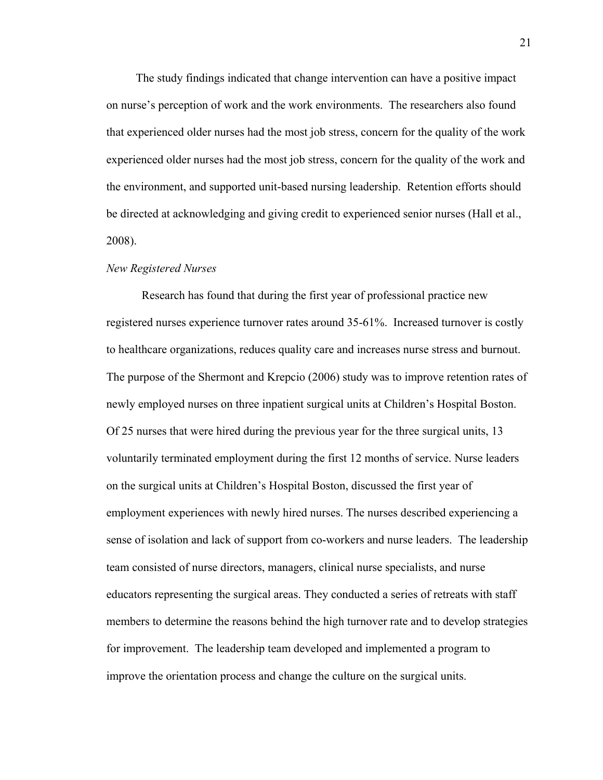The study findings indicated that change intervention can have a positive impact on nurse's perception of work and the work environments. The researchers also found that experienced older nurses had the most job stress, concern for the quality of the work experienced older nurses had the most job stress, concern for the quality of the work and the environment, and supported unit-based nursing leadership. Retention efforts should be directed at acknowledging and giving credit to experienced senior nurses (Hall et al., 2008).

#### *New Registered Nurses*

Research has found that during the first year of professional practice new registered nurses experience turnover rates around 35-61%. Increased turnover is costly to healthcare organizations, reduces quality care and increases nurse stress and burnout. The purpose of the Shermont and Krepcio (2006) study was to improve retention rates of newly employed nurses on three inpatient surgical units at Children's Hospital Boston. Of 25 nurses that were hired during the previous year for the three surgical units, 13 voluntarily terminated employment during the first 12 months of service. Nurse leaders on the surgical units at Children's Hospital Boston, discussed the first year of employment experiences with newly hired nurses. The nurses described experiencing a sense of isolation and lack of support from co-workers and nurse leaders. The leadership team consisted of nurse directors, managers, clinical nurse specialists, and nurse educators representing the surgical areas. They conducted a series of retreats with staff members to determine the reasons behind the high turnover rate and to develop strategies for improvement. The leadership team developed and implemented a program to improve the orientation process and change the culture on the surgical units.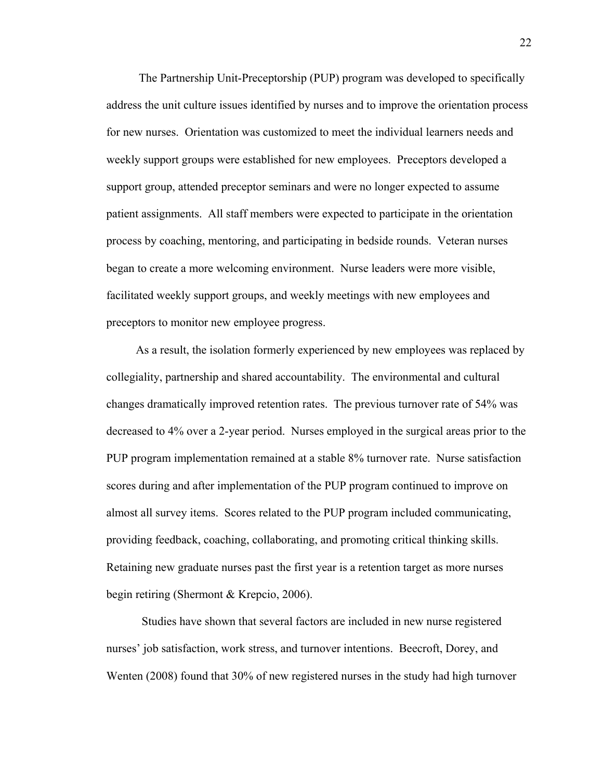The Partnership Unit-Preceptorship (PUP) program was developed to specifically address the unit culture issues identified by nurses and to improve the orientation process for new nurses. Orientation was customized to meet the individual learners needs and weekly support groups were established for new employees. Preceptors developed a support group, attended preceptor seminars and were no longer expected to assume patient assignments. All staff members were expected to participate in the orientation process by coaching, mentoring, and participating in bedside rounds. Veteran nurses began to create a more welcoming environment. Nurse leaders were more visible, facilitated weekly support groups, and weekly meetings with new employees and preceptors to monitor new employee progress.

 As a result, the isolation formerly experienced by new employees was replaced by collegiality, partnership and shared accountability. The environmental and cultural changes dramatically improved retention rates. The previous turnover rate of 54% was decreased to 4% over a 2-year period. Nurses employed in the surgical areas prior to the PUP program implementation remained at a stable 8% turnover rate. Nurse satisfaction scores during and after implementation of the PUP program continued to improve on almost all survey items. Scores related to the PUP program included communicating, providing feedback, coaching, collaborating, and promoting critical thinking skills. Retaining new graduate nurses past the first year is a retention target as more nurses begin retiring (Shermont & Krepcio, 2006).

 Studies have shown that several factors are included in new nurse registered nurses' job satisfaction, work stress, and turnover intentions. Beecroft, Dorey, and Wenten (2008) found that 30% of new registered nurses in the study had high turnover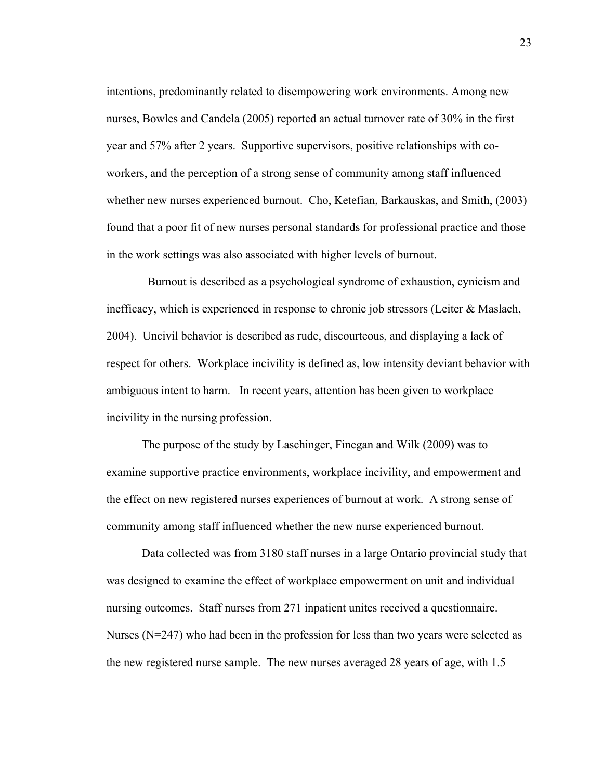intentions, predominantly related to disempowering work environments. Among new nurses, Bowles and Candela (2005) reported an actual turnover rate of 30% in the first year and 57% after 2 years. Supportive supervisors, positive relationships with coworkers, and the perception of a strong sense of community among staff influenced whether new nurses experienced burnout. Cho, Ketefian, Barkauskas, and Smith, (2003) found that a poor fit of new nurses personal standards for professional practice and those in the work settings was also associated with higher levels of burnout.

 Burnout is described as a psychological syndrome of exhaustion, cynicism and inefficacy, which is experienced in response to chronic job stressors (Leiter  $\&$  Maslach, 2004). Uncivil behavior is described as rude, discourteous, and displaying a lack of respect for others. Workplace incivility is defined as, low intensity deviant behavior with ambiguous intent to harm. In recent years, attention has been given to workplace incivility in the nursing profession.

 The purpose of the study by Laschinger, Finegan and Wilk (2009) was to examine supportive practice environments, workplace incivility, and empowerment and the effect on new registered nurses experiences of burnout at work. A strong sense of community among staff influenced whether the new nurse experienced burnout.

 Data collected was from 3180 staff nurses in a large Ontario provincial study that was designed to examine the effect of workplace empowerment on unit and individual nursing outcomes. Staff nurses from 271 inpatient unites received a questionnaire. Nurses ( $N=247$ ) who had been in the profession for less than two years were selected as the new registered nurse sample. The new nurses averaged 28 years of age, with 1.5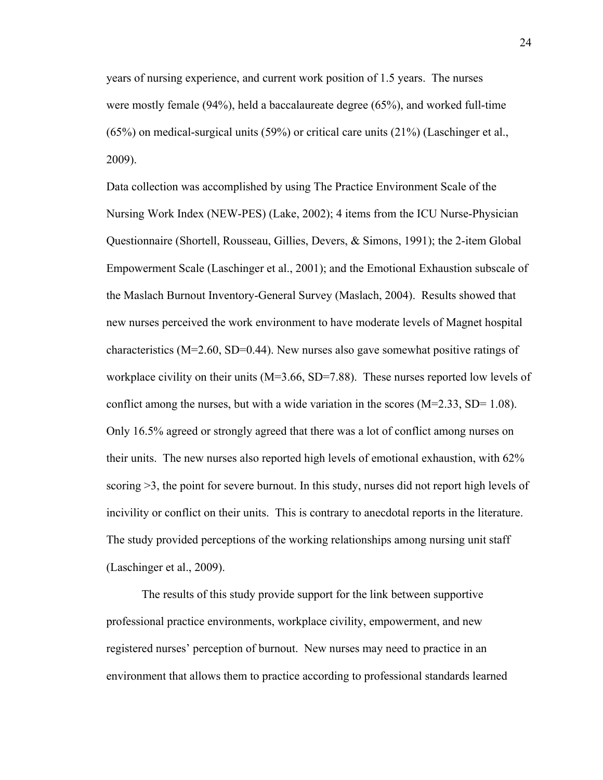years of nursing experience, and current work position of 1.5 years. The nurses were mostly female (94%), held a baccalaureate degree (65%), and worked full-time (65%) on medical-surgical units (59%) or critical care units (21%) (Laschinger et al., 2009).

Data collection was accomplished by using The Practice Environment Scale of the Nursing Work Index (NEW-PES) (Lake, 2002); 4 items from the ICU Nurse-Physician Questionnaire (Shortell, Rousseau, Gillies, Devers, & Simons, 1991); the 2-item Global Empowerment Scale (Laschinger et al., 2001); and the Emotional Exhaustion subscale of the Maslach Burnout Inventory-General Survey (Maslach, 2004). Results showed that new nurses perceived the work environment to have moderate levels of Magnet hospital characteristics ( $M=2.60$ , SD=0.44). New nurses also gave somewhat positive ratings of workplace civility on their units  $(M=3.66, SD=7.88)$ . These nurses reported low levels of conflict among the nurses, but with a wide variation in the scores  $(M=2.33, SD= 1.08)$ . Only 16.5% agreed or strongly agreed that there was a lot of conflict among nurses on their units. The new nurses also reported high levels of emotional exhaustion, with 62% scoring >3, the point for severe burnout. In this study, nurses did not report high levels of incivility or conflict on their units. This is contrary to anecdotal reports in the literature. The study provided perceptions of the working relationships among nursing unit staff (Laschinger et al., 2009).

 The results of this study provide support for the link between supportive professional practice environments, workplace civility, empowerment, and new registered nurses' perception of burnout. New nurses may need to practice in an environment that allows them to practice according to professional standards learned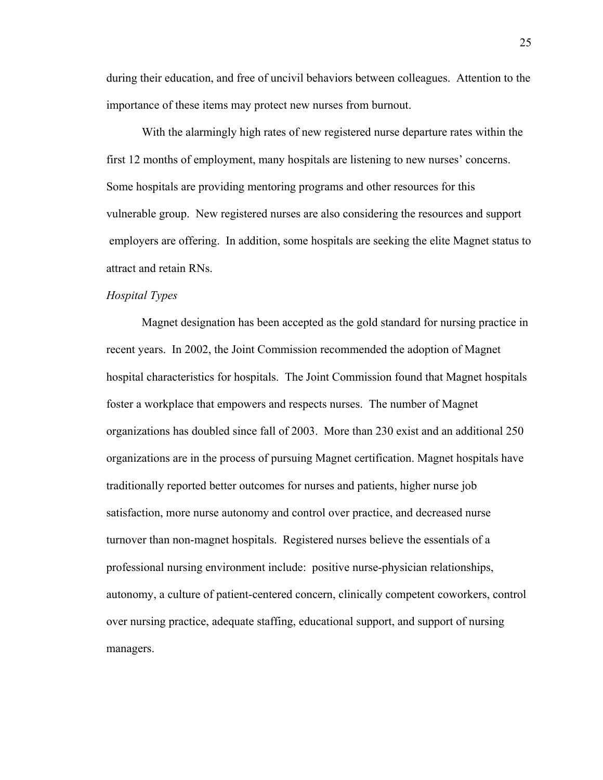during their education, and free of uncivil behaviors between colleagues. Attention to the importance of these items may protect new nurses from burnout.

 With the alarmingly high rates of new registered nurse departure rates within the first 12 months of employment, many hospitals are listening to new nurses' concerns. Some hospitals are providing mentoring programs and other resources for this vulnerable group. New registered nurses are also considering the resources and support employers are offering. In addition, some hospitals are seeking the elite Magnet status to attract and retain RNs.

### *Hospital Types*

 Magnet designation has been accepted as the gold standard for nursing practice in recent years. In 2002, the Joint Commission recommended the adoption of Magnet hospital characteristics for hospitals. The Joint Commission found that Magnet hospitals foster a workplace that empowers and respects nurses. The number of Magnet organizations has doubled since fall of 2003. More than 230 exist and an additional 250 organizations are in the process of pursuing Magnet certification. Magnet hospitals have traditionally reported better outcomes for nurses and patients, higher nurse job satisfaction, more nurse autonomy and control over practice, and decreased nurse turnover than non-magnet hospitals. Registered nurses believe the essentials of a professional nursing environment include: positive nurse-physician relationships, autonomy, a culture of patient-centered concern, clinically competent coworkers, control over nursing practice, adequate staffing, educational support, and support of nursing managers.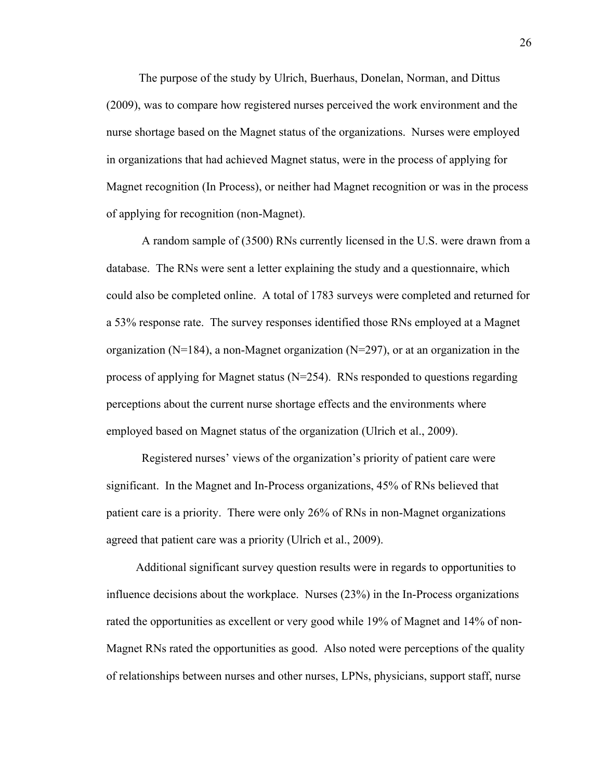The purpose of the study by Ulrich, Buerhaus, Donelan, Norman, and Dittus (2009), was to compare how registered nurses perceived the work environment and the nurse shortage based on the Magnet status of the organizations. Nurses were employed in organizations that had achieved Magnet status, were in the process of applying for Magnet recognition (In Process), or neither had Magnet recognition or was in the process of applying for recognition (non-Magnet).

 A random sample of (3500) RNs currently licensed in the U.S. were drawn from a database. The RNs were sent a letter explaining the study and a questionnaire, which could also be completed online. A total of 1783 surveys were completed and returned for a 53% response rate. The survey responses identified those RNs employed at a Magnet organization ( $N=184$ ), a non-Magnet organization ( $N=297$ ), or at an organization in the process of applying for Magnet status (N=254). RNs responded to questions regarding perceptions about the current nurse shortage effects and the environments where employed based on Magnet status of the organization (Ulrich et al., 2009).

 Registered nurses' views of the organization's priority of patient care were significant. In the Magnet and In-Process organizations, 45% of RNs believed that patient care is a priority. There were only 26% of RNs in non-Magnet organizations agreed that patient care was a priority (Ulrich et al., 2009).

 Additional significant survey question results were in regards to opportunities to influence decisions about the workplace. Nurses (23%) in the In-Process organizations rated the opportunities as excellent or very good while 19% of Magnet and 14% of non-Magnet RNs rated the opportunities as good. Also noted were perceptions of the quality of relationships between nurses and other nurses, LPNs, physicians, support staff, nurse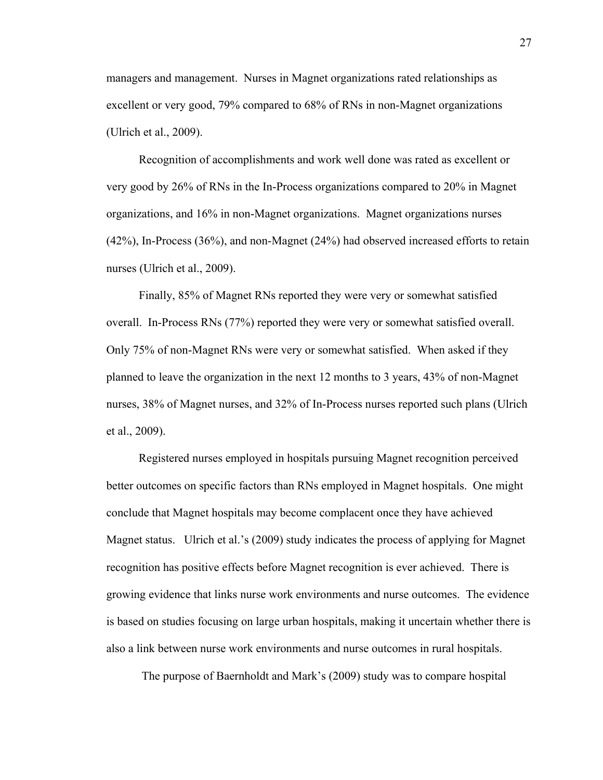managers and management. Nurses in Magnet organizations rated relationships as excellent or very good, 79% compared to 68% of RNs in non-Magnet organizations (Ulrich et al., 2009).

 Recognition of accomplishments and work well done was rated as excellent or very good by 26% of RNs in the In-Process organizations compared to 20% in Magnet organizations, and 16% in non-Magnet organizations. Magnet organizations nurses (42%), In-Process (36%), and non-Magnet (24%) had observed increased efforts to retain nurses (Ulrich et al., 2009).

 Finally, 85% of Magnet RNs reported they were very or somewhat satisfied overall. In-Process RNs (77%) reported they were very or somewhat satisfied overall. Only 75% of non-Magnet RNs were very or somewhat satisfied. When asked if they planned to leave the organization in the next 12 months to 3 years, 43% of non-Magnet nurses, 38% of Magnet nurses, and 32% of In-Process nurses reported such plans (Ulrich et al., 2009).

 Registered nurses employed in hospitals pursuing Magnet recognition perceived better outcomes on specific factors than RNs employed in Magnet hospitals. One might conclude that Magnet hospitals may become complacent once they have achieved Magnet status. Ulrich et al.'s (2009) study indicates the process of applying for Magnet recognition has positive effects before Magnet recognition is ever achieved. There is growing evidence that links nurse work environments and nurse outcomes. The evidence is based on studies focusing on large urban hospitals, making it uncertain whether there is also a link between nurse work environments and nurse outcomes in rural hospitals.

The purpose of Baernholdt and Mark's (2009) study was to compare hospital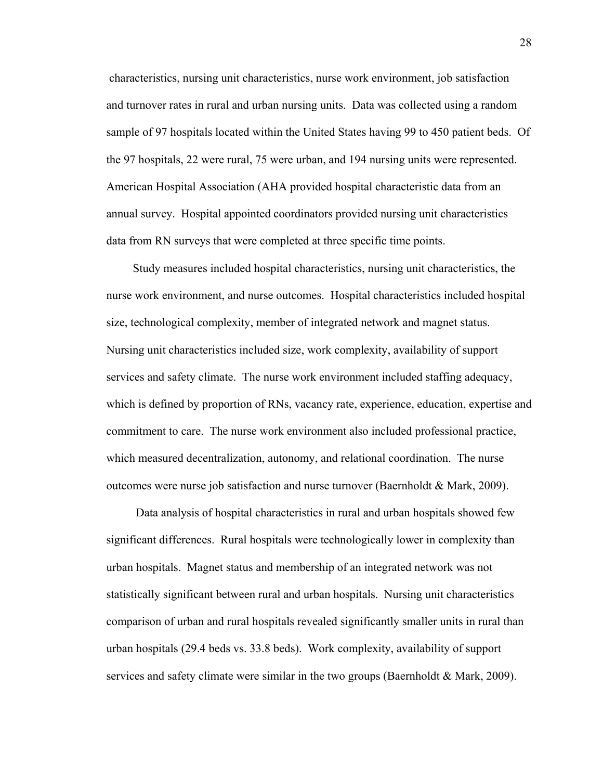characteristics, nursing unit characteristics, nurse work environment, job satisfaction and turnover rates in rural and urban nursing units. Data was collected using a random sample of 97 hospitals located within the United States having 99 to 450 patient beds. Of the 97 hospitals, 22 were rural, 75 were urban, and 194 nursing units were represented. American Hospital Association (AHA provided hospital characteristic data from an annual survey. Hospital appointed coordinators provided nursing unit characteristics data from RN surveys that were completed at three specific time points.

 Study measures included hospital characteristics, nursing unit characteristics, the nurse work environment, and nurse outcomes. Hospital characteristics included hospital size, technological complexity, member of integrated network and magnet status. Nursing unit characteristics included size, work complexity, availability of support services and safety climate. The nurse work environment included staffing adequacy, which is defined by proportion of RNs, vacancy rate, experience, education, expertise and commitment to care. The nurse work environment also included professional practice, which measured decentralization, autonomy, and relational coordination. The nurse outcomes were nurse job satisfaction and nurse turnover (Baernholdt & Mark, 2009).

 Data analysis of hospital characteristics in rural and urban hospitals showed few significant differences. Rural hospitals were technologically lower in complexity than urban hospitals. Magnet status and membership of an integrated network was not statistically significant between rural and urban hospitals. Nursing unit characteristics comparison of urban and rural hospitals revealed significantly smaller units in rural than urban hospitals (29.4 beds vs. 33.8 beds). Work complexity, availability of support services and safety climate were similar in the two groups (Baernholdt & Mark, 2009).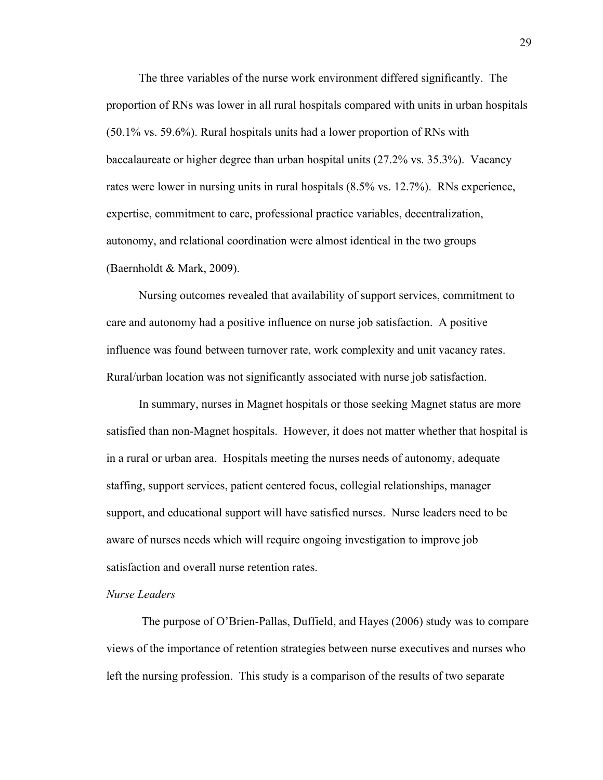The three variables of the nurse work environment differed significantly. The proportion of RNs was lower in all rural hospitals compared with units in urban hospitals (50.1% vs. 59.6%). Rural hospitals units had a lower proportion of RNs with baccalaureate or higher degree than urban hospital units (27.2% vs. 35.3%). Vacancy rates were lower in nursing units in rural hospitals (8.5% vs. 12.7%). RNs experience, expertise, commitment to care, professional practice variables, decentralization, autonomy, and relational coordination were almost identical in the two groups (Baernholdt & Mark, 2009).

 Nursing outcomes revealed that availability of support services, commitment to care and autonomy had a positive influence on nurse job satisfaction. A positive influence was found between turnover rate, work complexity and unit vacancy rates. Rural/urban location was not significantly associated with nurse job satisfaction.

 In summary, nurses in Magnet hospitals or those seeking Magnet status are more satisfied than non-Magnet hospitals. However, it does not matter whether that hospital is in a rural or urban area. Hospitals meeting the nurses needs of autonomy, adequate staffing, support services, patient centered focus, collegial relationships, manager support, and educational support will have satisfied nurses. Nurse leaders need to be aware of nurses needs which will require ongoing investigation to improve job satisfaction and overall nurse retention rates.

#### *Nurse Leaders*

 The purpose of O'Brien-Pallas, Duffield, and Hayes (2006) study was to compare views of the importance of retention strategies between nurse executives and nurses who left the nursing profession. This study is a comparison of the results of two separate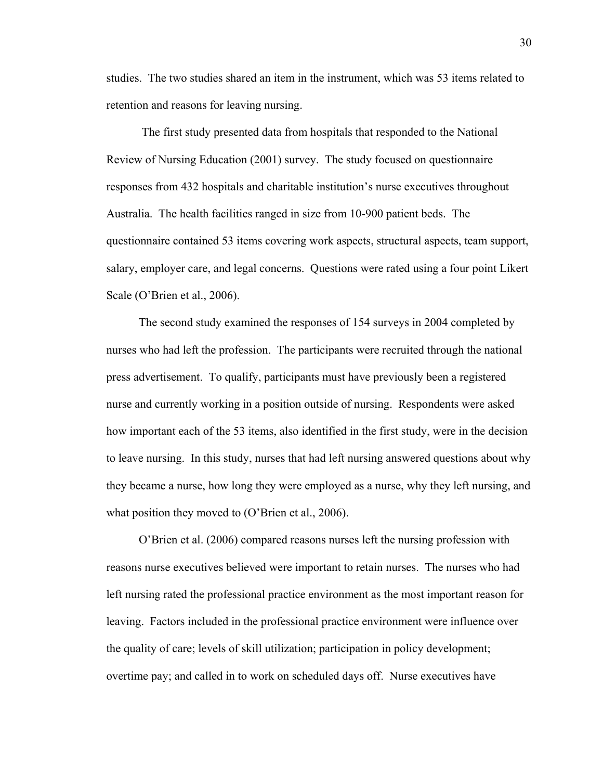studies. The two studies shared an item in the instrument, which was 53 items related to retention and reasons for leaving nursing.

 The first study presented data from hospitals that responded to the National Review of Nursing Education (2001) survey. The study focused on questionnaire responses from 432 hospitals and charitable institution's nurse executives throughout Australia. The health facilities ranged in size from 10-900 patient beds. The questionnaire contained 53 items covering work aspects, structural aspects, team support, salary, employer care, and legal concerns. Questions were rated using a four point Likert Scale (O'Brien et al., 2006).

 The second study examined the responses of 154 surveys in 2004 completed by nurses who had left the profession. The participants were recruited through the national press advertisement. To qualify, participants must have previously been a registered nurse and currently working in a position outside of nursing. Respondents were asked how important each of the 53 items, also identified in the first study, were in the decision to leave nursing. In this study, nurses that had left nursing answered questions about why they became a nurse, how long they were employed as a nurse, why they left nursing, and what position they moved to (O'Brien et al., 2006).

 O'Brien et al. (2006) compared reasons nurses left the nursing profession with reasons nurse executives believed were important to retain nurses. The nurses who had left nursing rated the professional practice environment as the most important reason for leaving. Factors included in the professional practice environment were influence over the quality of care; levels of skill utilization; participation in policy development; overtime pay; and called in to work on scheduled days off. Nurse executives have

30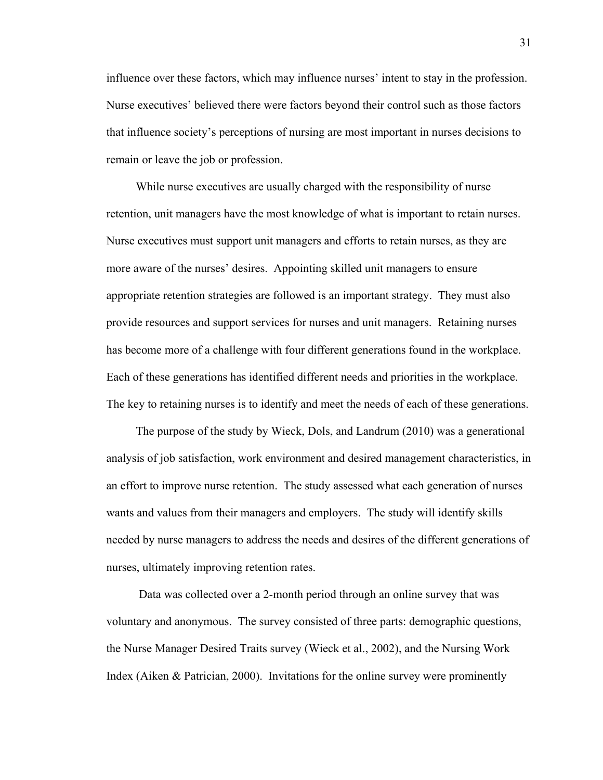influence over these factors, which may influence nurses' intent to stay in the profession. Nurse executives' believed there were factors beyond their control such as those factors that influence society's perceptions of nursing are most important in nurses decisions to remain or leave the job or profession.

 While nurse executives are usually charged with the responsibility of nurse retention, unit managers have the most knowledge of what is important to retain nurses. Nurse executives must support unit managers and efforts to retain nurses, as they are more aware of the nurses' desires. Appointing skilled unit managers to ensure appropriate retention strategies are followed is an important strategy. They must also provide resources and support services for nurses and unit managers. Retaining nurses has become more of a challenge with four different generations found in the workplace. Each of these generations has identified different needs and priorities in the workplace. The key to retaining nurses is to identify and meet the needs of each of these generations.

 The purpose of the study by Wieck, Dols, and Landrum (2010) was a generational analysis of job satisfaction, work environment and desired management characteristics, in an effort to improve nurse retention. The study assessed what each generation of nurses wants and values from their managers and employers. The study will identify skills needed by nurse managers to address the needs and desires of the different generations of nurses, ultimately improving retention rates.

 Data was collected over a 2-month period through an online survey that was voluntary and anonymous. The survey consisted of three parts: demographic questions, the Nurse Manager Desired Traits survey (Wieck et al., 2002), and the Nursing Work Index (Aiken & Patrician, 2000). Invitations for the online survey were prominently

31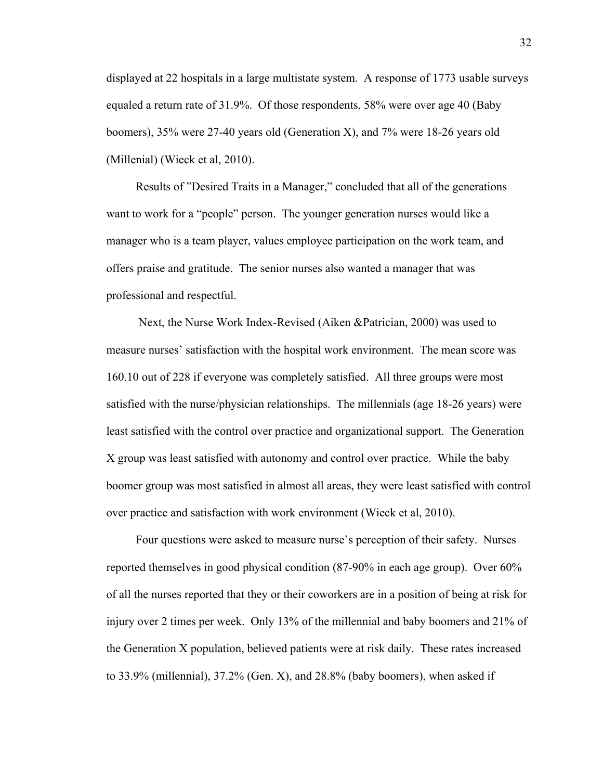displayed at 22 hospitals in a large multistate system. A response of 1773 usable surveys equaled a return rate of 31.9%. Of those respondents, 58% were over age 40 (Baby boomers), 35% were 27-40 years old (Generation X), and 7% were 18-26 years old (Millenial) (Wieck et al, 2010).

 Results of "Desired Traits in a Manager," concluded that all of the generations want to work for a "people" person. The younger generation nurses would like a manager who is a team player, values employee participation on the work team, and offers praise and gratitude. The senior nurses also wanted a manager that was professional and respectful.

 Next, the Nurse Work Index-Revised (Aiken &Patrician, 2000) was used to measure nurses' satisfaction with the hospital work environment. The mean score was 160.10 out of 228 if everyone was completely satisfied. All three groups were most satisfied with the nurse/physician relationships. The millennials (age 18-26 years) were least satisfied with the control over practice and organizational support. The Generation X group was least satisfied with autonomy and control over practice. While the baby boomer group was most satisfied in almost all areas, they were least satisfied with control over practice and satisfaction with work environment (Wieck et al, 2010).

 Four questions were asked to measure nurse's perception of their safety. Nurses reported themselves in good physical condition (87-90% in each age group). Over 60% of all the nurses reported that they or their coworkers are in a position of being at risk for injury over 2 times per week. Only 13% of the millennial and baby boomers and 21% of the Generation X population, believed patients were at risk daily. These rates increased to 33.9% (millennial), 37.2% (Gen. X), and 28.8% (baby boomers), when asked if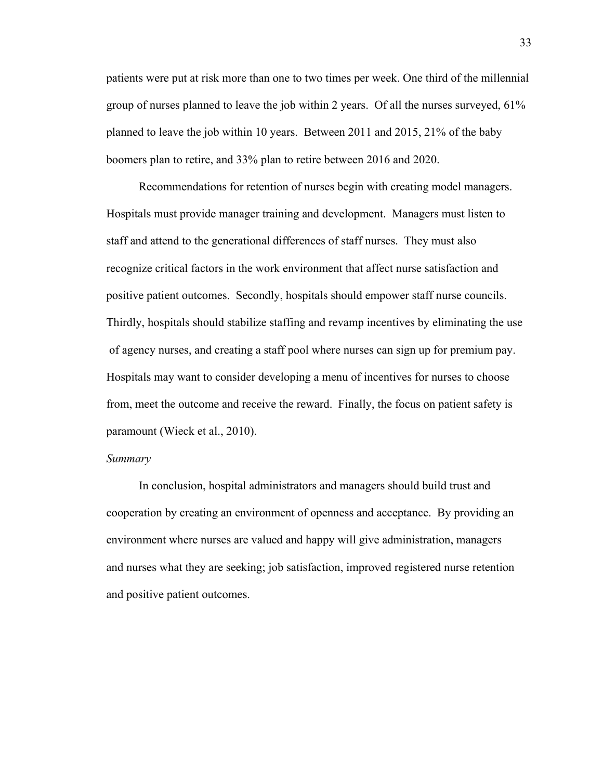patients were put at risk more than one to two times per week. One third of the millennial group of nurses planned to leave the job within 2 years. Of all the nurses surveyed, 61% planned to leave the job within 10 years. Between 2011 and 2015, 21% of the baby boomers plan to retire, and 33% plan to retire between 2016 and 2020.

 Recommendations for retention of nurses begin with creating model managers. Hospitals must provide manager training and development. Managers must listen to staff and attend to the generational differences of staff nurses. They must also recognize critical factors in the work environment that affect nurse satisfaction and positive patient outcomes. Secondly, hospitals should empower staff nurse councils. Thirdly, hospitals should stabilize staffing and revamp incentives by eliminating the use of agency nurses, and creating a staff pool where nurses can sign up for premium pay. Hospitals may want to consider developing a menu of incentives for nurses to choose from, meet the outcome and receive the reward. Finally, the focus on patient safety is paramount (Wieck et al., 2010).

#### *Summary*

 In conclusion, hospital administrators and managers should build trust and cooperation by creating an environment of openness and acceptance. By providing an environment where nurses are valued and happy will give administration, managers and nurses what they are seeking; job satisfaction, improved registered nurse retention and positive patient outcomes.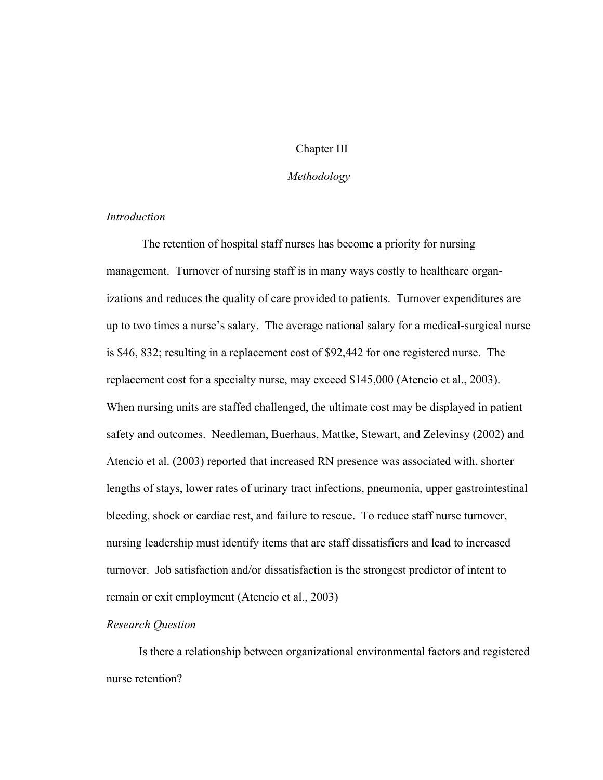### Chapter III

### *Methodology*

## *Introduction*

The retention of hospital staff nurses has become a priority for nursing management. Turnover of nursing staff is in many ways costly to healthcare organizations and reduces the quality of care provided to patients. Turnover expenditures are up to two times a nurse's salary. The average national salary for a medical-surgical nurse is \$46, 832; resulting in a replacement cost of \$92,442 for one registered nurse. The replacement cost for a specialty nurse, may exceed \$145,000 (Atencio et al., 2003). When nursing units are staffed challenged, the ultimate cost may be displayed in patient safety and outcomes. Needleman, Buerhaus, Mattke, Stewart, and Zelevinsy (2002) and Atencio et al. (2003) reported that increased RN presence was associated with, shorter lengths of stays, lower rates of urinary tract infections, pneumonia, upper gastrointestinal bleeding, shock or cardiac rest, and failure to rescue. To reduce staff nurse turnover, nursing leadership must identify items that are staff dissatisfiers and lead to increased turnover. Job satisfaction and/or dissatisfaction is the strongest predictor of intent to remain or exit employment (Atencio et al., 2003)

### *Research Question*

Is there a relationship between organizational environmental factors and registered nurse retention?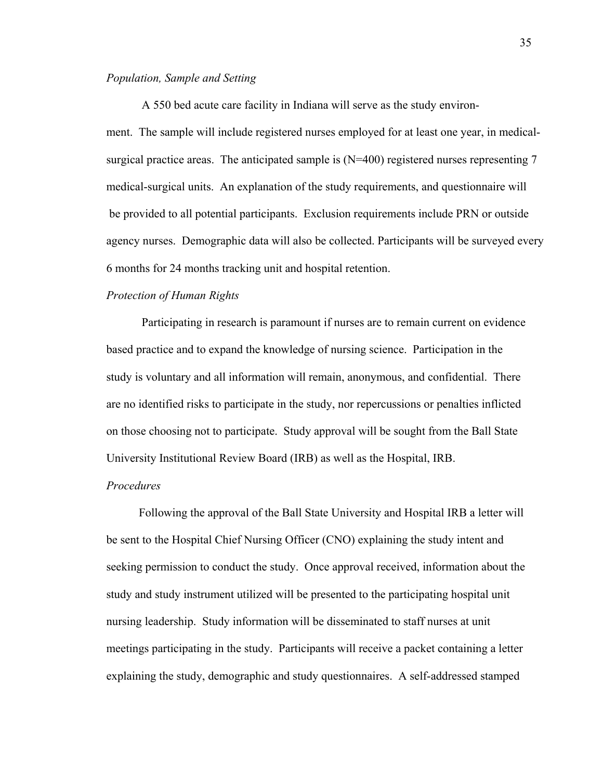### *Population, Sample and Setting*

A 550 bed acute care facility in Indiana will serve as the study environment. The sample will include registered nurses employed for at least one year, in medicalsurgical practice areas. The anticipated sample is (N=400) registered nurses representing 7 medical-surgical units. An explanation of the study requirements, and questionnaire will be provided to all potential participants. Exclusion requirements include PRN or outside agency nurses. Demographic data will also be collected. Participants will be surveyed every 6 months for 24 months tracking unit and hospital retention.

### *Protection of Human Rights*

Participating in research is paramount if nurses are to remain current on evidence based practice and to expand the knowledge of nursing science.Participation in the study is voluntary and all information will remain, anonymous, and confidential. There are no identified risks to participate in the study, nor repercussions or penalties inflicted on those choosing not to participate. Study approval will be sought from the Ball State University Institutional Review Board (IRB) as well as the Hospital, IRB.

### *Procedures*

Following the approval of the Ball State University and Hospital IRB a letter will be sent to the Hospital Chief Nursing Officer (CNO) explaining the study intent and seeking permission to conduct the study. Once approval received, information about the study and study instrument utilized will be presented to the participating hospital unit nursing leadership. Study information will be disseminated to staff nurses at unit meetings participating in the study. Participants will receive a packet containing a letter explaining the study, demographic and study questionnaires. A self-addressed stamped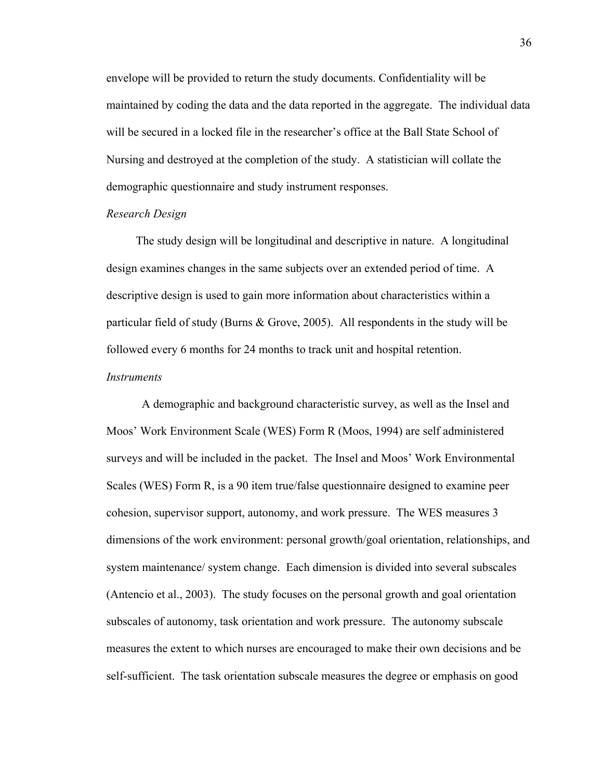envelope will be provided to return the study documents. Confidentiality will be maintained by coding the data and the data reported in the aggregate. The individual data will be secured in a locked file in the researcher's office at the Ball State School of Nursing and destroyed at the completion of the study. A statistician will collate the demographic questionnaire and study instrument responses.

### *Research Design*

The study design will be longitudinal and descriptive in nature. A longitudinal design examines changes in the same subjects over an extended period of time. A descriptive design is used to gain more information about characteristics within a particular field of study (Burns & Grove, 2005). All respondents in the study will be followed every 6 months for 24 months to track unit and hospital retention.

### *Instruments*

 A demographic and background characteristic survey, as well as the Insel and Moos' Work Environment Scale (WES) Form R (Moos, 1994) are self administered surveys and will be included in the packet. The Insel and Moos' Work Environmental Scales (WES) Form R, is a 90 item true/false questionnaire designed to examine peer cohesion, supervisor support, autonomy, and work pressure. The WES measures 3 dimensions of the work environment: personal growth/goal orientation, relationships, and system maintenance/ system change. Each dimension is divided into several subscales (Antencio et al., 2003). The study focuses on the personal growth and goal orientation subscales of autonomy, task orientation and work pressure. The autonomy subscale measures the extent to which nurses are encouraged to make their own decisions and be self-sufficient. The task orientation subscale measures the degree or emphasis on good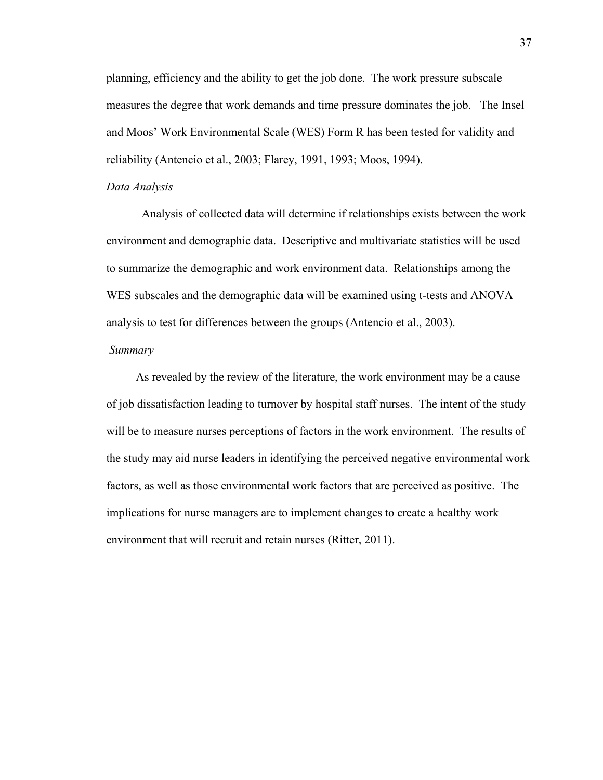planning, efficiency and the ability to get the job done. The work pressure subscale measures the degree that work demands and time pressure dominates the job. The Insel and Moos' Work Environmental Scale (WES) Form R has been tested for validity and reliability (Antencio et al., 2003; Flarey, 1991, 1993; Moos, 1994).

#### *Data Analysis*

Analysis of collected data will determine if relationships exists between the work environment and demographic data. Descriptive and multivariate statistics will be used to summarize the demographic and work environment data. Relationships among the WES subscales and the demographic data will be examined using t-tests and ANOVA analysis to test for differences between the groups (Antencio et al., 2003).

#### *Summary*

As revealed by the review of the literature, the work environment may be a cause of job dissatisfaction leading to turnover by hospital staff nurses. The intent of the study will be to measure nurses perceptions of factors in the work environment. The results of the study may aid nurse leaders in identifying the perceived negative environmental work factors, as well as those environmental work factors that are perceived as positive. The implications for nurse managers are to implement changes to create a healthy work environment that will recruit and retain nurses (Ritter, 2011).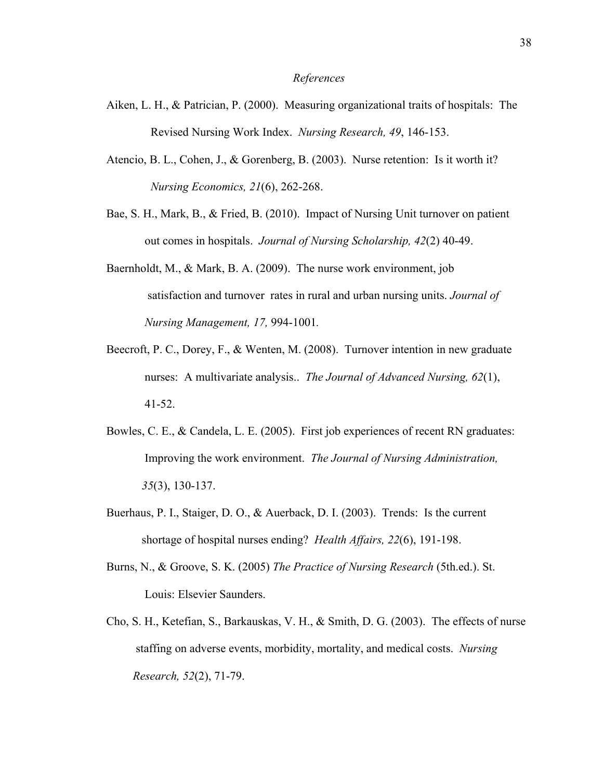#### *References*

- Aiken, L. H., & Patrician, P. (2000). Measuring organizational traits of hospitals: The Revised Nursing Work Index. *Nursing Research, 49*, 146-153.
- Atencio, B. L., Cohen, J., & Gorenberg, B. (2003). Nurse retention: Is it worth it? *Nursing Economics, 21*(6), 262-268.
- Bae, S. H., Mark, B., & Fried, B. (2010). Impact of Nursing Unit turnover on patient out comes in hospitals. *Journal of Nursing Scholarship, 42*(2) 40-49.
- Baernholdt, M., & Mark, B. A. (2009). The nurse work environment, job satisfaction and turnover rates in rural and urban nursing units. *Journal of Nursing Management, 17,* 994-1001*.*
- Beecroft, P. C., Dorey, F., & Wenten, M. (2008). Turnover intention in new graduate nurses: A multivariate analysis.. *The Journal of Advanced Nursing, 62*(1), 41-52.
- Bowles, C. E., & Candela, L. E. (2005). First job experiences of recent RN graduates: Improving the work environment. *The Journal of Nursing Administration, 35*(3), 130-137.
- Buerhaus, P. I., Staiger, D. O., & Auerback, D. I. (2003). Trends: Is the current shortage of hospital nurses ending? *Health Affairs, 22*(6), 191-198.
- Burns, N., & Groove, S. K. (2005) *The Practice of Nursing Research* (5th.ed.). St. Louis: Elsevier Saunders.
- Cho, S. H., Ketefian, S., Barkauskas, V. H., & Smith, D. G. (2003). The effects of nurse staffing on adverse events, morbidity, mortality, and medical costs. *Nursing Research, 52*(2), 71-79.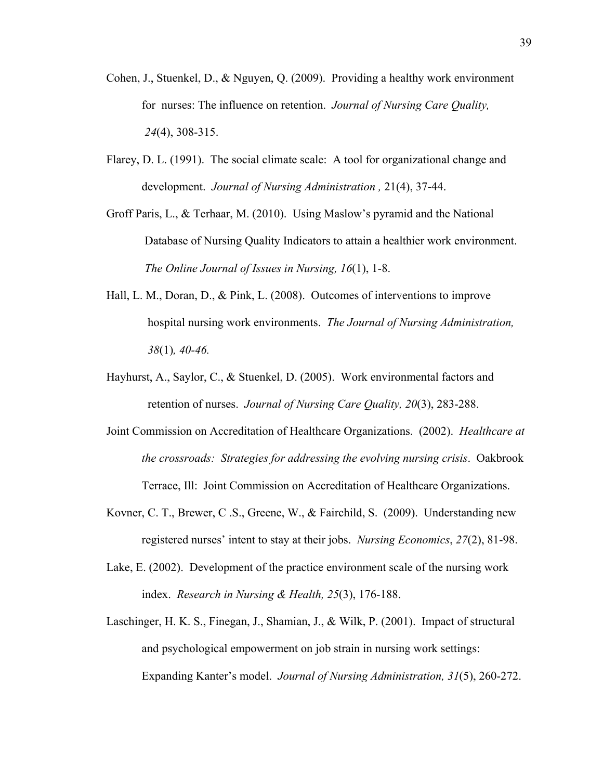- Cohen, J., Stuenkel, D., & Nguyen, Q. (2009). Providing a healthy work environment for nurses: The influence on retention. *Journal of Nursing Care Quality, 24*(4), 308-315.
- Flarey, D. L. (1991). The social climate scale: A tool for organizational change and development. *Journal of Nursing Administration ,* 21(4), 37-44.
- Groff Paris, L., & Terhaar, M. (2010). Using Maslow's pyramid and the National Database of Nursing Quality Indicators to attain a healthier work environment. *The Online Journal of Issues in Nursing, 16*(1), 1-8.
- Hall, L. M., Doran, D., & Pink, L. (2008). Outcomes of interventions to improve hospital nursing work environments. *The Journal of Nursing Administration, 38*(1)*, 40-46.*
- Hayhurst, A., Saylor, C., & Stuenkel, D. (2005). Work environmental factors and retention of nurses. *Journal of Nursing Care Quality, 20*(3), 283-288.
- Joint Commission on Accreditation of Healthcare Organizations. (2002). *Healthcare at the crossroads: Strategies for addressing the evolving nursing crisis*. Oakbrook Terrace, Ill: Joint Commission on Accreditation of Healthcare Organizations.
- Kovner, C. T., Brewer, C .S., Greene, W., & Fairchild, S. (2009). Understanding new registered nurses' intent to stay at their jobs. *Nursing Economics*, *27*(2), 81-98.
- Lake, E. (2002). Development of the practice environment scale of the nursing work index. *Research in Nursing & Health, 25*(3), 176-188.
- Laschinger, H. K. S., Finegan, J., Shamian, J., & Wilk, P. (2001). Impact of structural and psychological empowerment on job strain in nursing work settings: Expanding Kanter's model. *Journal of Nursing Administration, 31*(5), 260-272.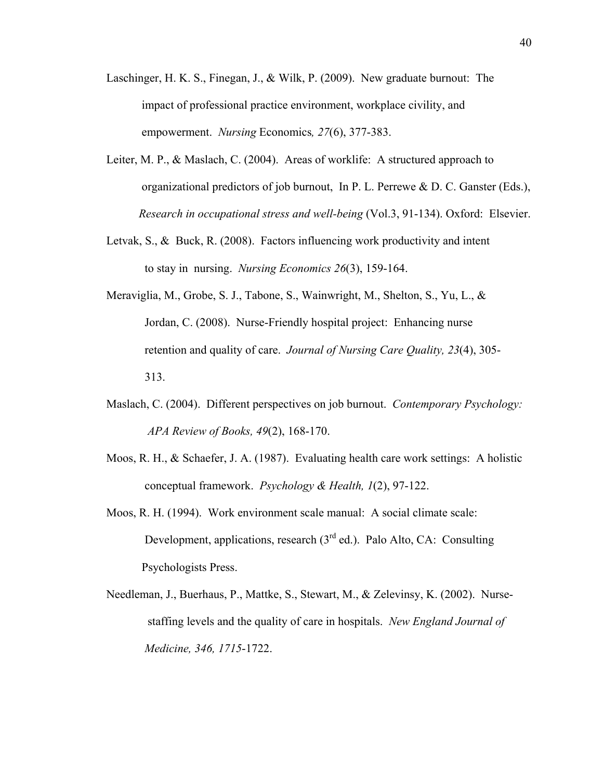- Laschinger, H. K. S., Finegan, J., & Wilk, P. (2009). New graduate burnout: The impact of professional practice environment, workplace civility, and empowerment. *Nursing* Economics*, 27*(6), 377-383.
- Leiter, M. P., & Maslach, C. (2004). Areas of worklife: A structured approach to organizational predictors of job burnout, In P. L. Perrewe & D. C. Ganster (Eds.), *Research in occupational stress and well-being* (Vol.3, 91-134). Oxford: Elsevier.
- Letvak, S., & Buck, R. (2008). Factors influencing work productivity and intent to stay in nursing. *Nursing Economics 26*(3), 159-164.
- Meraviglia, M., Grobe, S. J., Tabone, S., Wainwright, M., Shelton, S., Yu, L., & Jordan, C. (2008). Nurse-Friendly hospital project: Enhancing nurse retention and quality of care. *Journal of Nursing Care Quality, 23*(4), 305- 313.
- Maslach, C. (2004). Different perspectives on job burnout. *Contemporary Psychology: APA Review of Books, 49*(2), 168-170.
- Moos, R. H., & Schaefer, J. A. (1987). Evaluating health care work settings: A holistic conceptual framework. *Psychology & Health, 1*(2), 97-122.
- Moos, R. H. (1994). Work environment scale manual: A social climate scale: Development, applications, research  $(3<sup>rd</sup>$  ed.). Palo Alto, CA: Consulting Psychologists Press.
- Needleman, J., Buerhaus, P., Mattke, S., Stewart, M., & Zelevinsy, K. (2002). Nurse staffing levels and the quality of care in hospitals. *New England Journal of Medicine, 346, 1715*-1722.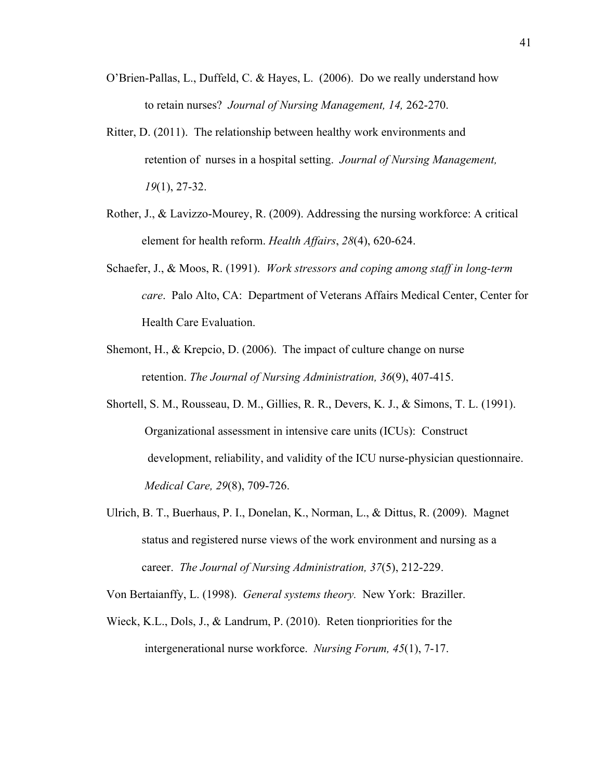- O'Brien-Pallas, L., Duffeld, C. & Hayes, L. (2006). Do we really understand how to retain nurses? *Journal of Nursing Management, 14,* 262-270.
- Ritter, D. (2011). The relationship between healthy work environments and retention of nurses in a hospital setting. *Journal of Nursing Management, 19*(1), 27-32.
- Rother, J., & Lavizzo-Mourey, R. (2009). Addressing the nursing workforce: A critical element for health reform. *Health Affairs*, *28*(4), 620-624.
- Schaefer, J., & Moos, R. (1991). *Work stressors and coping among staff in long-term care*. Palo Alto, CA: Department of Veterans Affairs Medical Center, Center for Health Care Evaluation.
- Shemont, H., & Krepcio, D. (2006). The impact of culture change on nurse retention. *The Journal of Nursing Administration, 36*(9), 407-415.
- Shortell, S. M., Rousseau, D. M., Gillies, R. R., Devers, K. J., & Simons, T. L. (1991). Organizational assessment in intensive care units (ICUs): Construct development, reliability, and validity of the ICU nurse-physician questionnaire. *Medical Care, 29*(8), 709-726.
- Ulrich, B. T., Buerhaus, P. I., Donelan, K., Norman, L., & Dittus, R. (2009). Magnet status and registered nurse views of the work environment and nursing as a career. *The Journal of Nursing Administration, 37*(5), 212-229.

Von Bertaianffy, L. (1998). *General systems theory.* New York: Braziller.

Wieck, K.L., Dols, J., & Landrum, P. (2010). Reten tionpriorities for the intergenerational nurse workforce. *Nursing Forum, 45*(1), 7-17.